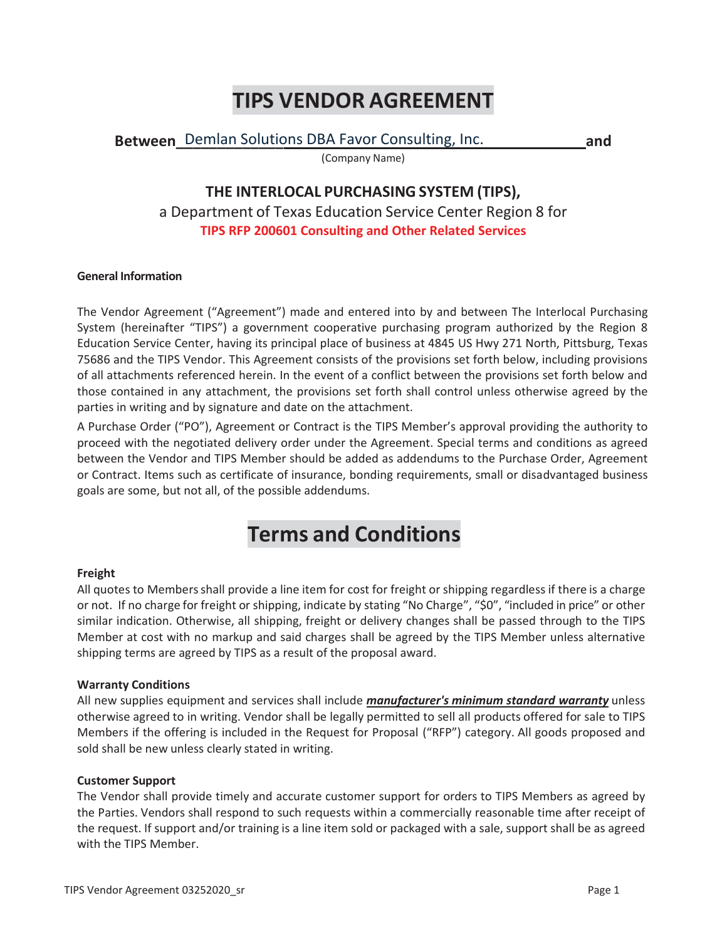# **TIPS VENDOR AGREEMENT**

Between\_Demlan Solutions DBA Favor Consulting, Inc. \_\_\_\_\_\_\_\_\_\_\_\_\_\_\_\_\_\_\_and

# **THE INTERLOCAL PURCHASING SYSTEM (TIPS),**

(Company Name)

a Department of Texas Education Service Center Region 8 for **TIPS RFP 200601 Consulting and Other Related Services**

# **General Information**

The Vendor Agreement ("Agreement") made and entered into by and between The Interlocal Purchasing System (hereinafter "TIPS") a government cooperative purchasing program authorized by the Region 8 Education Service Center, having its principal place of business at 4845 US Hwy 271 North, Pittsburg, Texas 75686 and the TIPS Vendor. This Agreement consists of the provisions set forth below, including provisions of all attachments referenced herein. In the event of a conflict between the provisions set forth below and those contained in any attachment, the provisions set forth shall control unless otherwise agreed by the parties in writing and by signature and date on the attachment.

A Purchase Order ("PO"), Agreement or Contract is the TIPS Member's approval providing the authority to proceed with the negotiated delivery order under the Agreement. Special terms and conditions as agreed between the Vendor and TIPS Member should be added as addendums to the Purchase Order, Agreement or Contract. Items such as certificate of insurance, bonding requirements, small or disadvantaged business goals are some, but not all, of the possible addendums.

# **Terms and Conditions**

# **Freight**

All quotes to Members shall provide a line item for cost for freight or shipping regardless if there is a charge or not. If no charge for freight or shipping, indicate by stating "No Charge", "\$0", "included in price" or other similar indication. Otherwise, all shipping, freight or delivery changes shall be passed through to the TIPS Member at cost with no markup and said charges shall be agreed by the TIPS Member unless alternative shipping terms are agreed by TIPS as a result of the proposal award.

# **Warranty Conditions**

All new supplies equipment and services shall include *manufacturer's minimum standard warranty* unless otherwise agreed to in writing. Vendor shall be legally permitted to sell all products offered for sale to TIPS Members if the offering is included in the Request for Proposal ("RFP") category. All goods proposed and sold shall be new unless clearly stated in writing.

# **Customer Support**

The Vendor shall provide timely and accurate customer support for orders to TIPS Members as agreed by the Parties. Vendors shall respond to such requests within a commercially reasonable time after receipt of the request. If support and/or training is a line item sold or packaged with a sale, support shall be as agreed with the TIPS Member.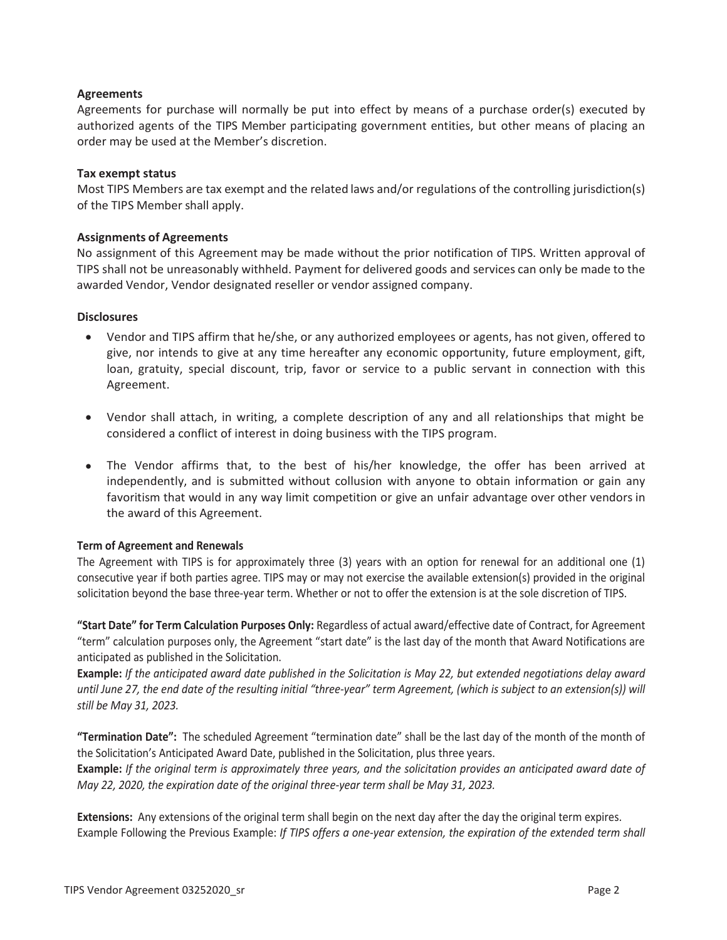# **Agreements**

Agreements for purchase will normally be put into effect by means of a purchase order(s) executed by authorized agents of the TIPS Member participating government entities, but other means of placing an order may be used at the Member's discretion.

# **Tax exempt status**

Most TIPS Members are tax exempt and the related laws and/or regulations of the controlling jurisdiction(s) of the TIPS Member shall apply.

# **Assignments of Agreements**

No assignment of this Agreement may be made without the prior notification of TIPS. Written approval of TIPS shall not be unreasonably withheld. Payment for delivered goods and services can only be made to the awarded Vendor, Vendor designated reseller or vendor assigned company.

# **Disclosures**

- Vendor and TIPS affirm that he/she, or any authorized employees or agents, has not given, offered to give, nor intends to give at any time hereafter any economic opportunity, future employment, gift, loan, gratuity, special discount, trip, favor or service to a public servant in connection with this Agreement.
- Vendor shall attach, in writing, a complete description of any and all relationships that might be considered a conflict of interest in doing business with the TIPS program.
- The Vendor affirms that, to the best of his/her knowledge, the offer has been arrived at independently, and is submitted without collusion with anyone to obtain information or gain any favoritism that would in any way limit competition or give an unfair advantage over other vendors in the award of this Agreement.

# **Term of Agreement and Renewals**

The Agreement with TIPS is for approximately three (3) years with an option for renewal for an additional one (1) consecutive year if both parties agree. TIPS may or may not exercise the available extension(s) provided in the original solicitation beyond the base three-year term. Whether or not to offer the extension is at the sole discretion of TIPS.

**"Start Date" for Term Calculation Purposes Only:** Regardless of actual award/effective date of Contract, for Agreement "term" calculation purposes only, the Agreement "start date" is the last day of the month that Award Notifications are anticipated as published in the Solicitation.

**Example:** *If the anticipated award date published in the Solicitation is May 22, but extended negotiations delay award until June 27, the end date of the resulting initial "three-year" term Agreement, (which is subject to an extension(s)) will still be May 31, 2023.*

**"Termination Date":** The scheduled Agreement "termination date" shall be the last day of the month of the month of the Solicitation's Anticipated Award Date, published in the Solicitation, plus three years.

**Example:** *If the original term is approximately three years, and the solicitation provides an anticipated award date of May 22, 2020, the expiration date of the original three-year term shall be May 31, 2023.*

**Extensions:** Any extensions of the original term shall begin on the next day after the day the original term expires. Example Following the Previous Example: *If TIPS offers a one-year extension, the expiration of the extended term shall*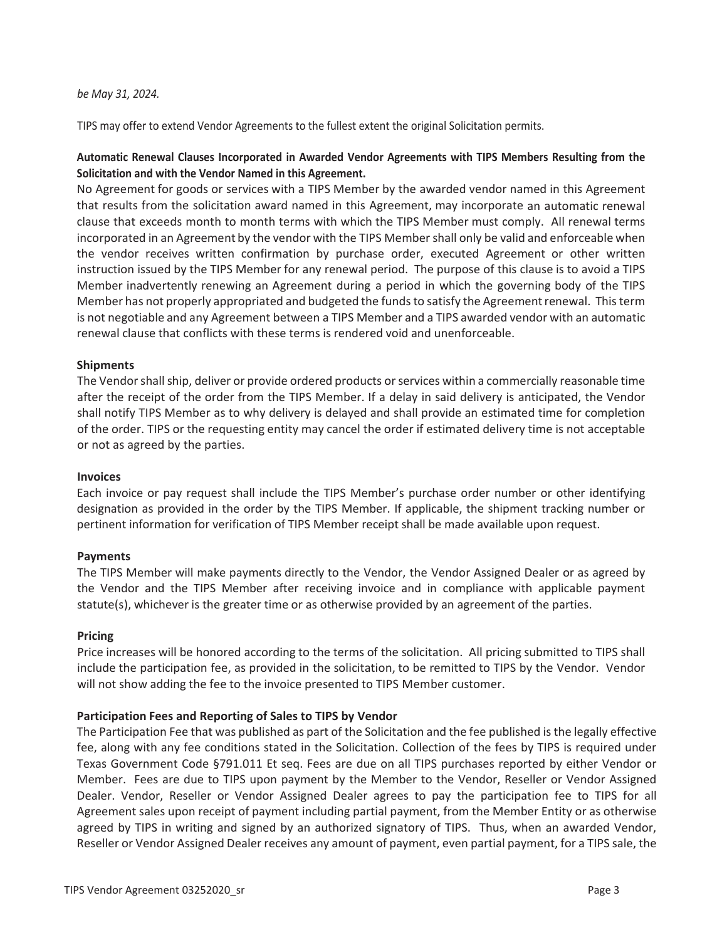# *be May 31, 2024.*

TIPS may offer to extend Vendor Agreements to the fullest extent the original Solicitation permits.

# **Automatic Renewal Clauses Incorporated in Awarded Vendor Agreements with TIPS Members Resulting from the Solicitation and with the Vendor Named in this Agreement.**

No Agreement for goods or services with a TIPS Member by the awarded vendor named in this Agreement that results from the solicitation award named in this Agreement, may incorporate an automatic renewal clause that exceeds month to month terms with which the TIPS Member must comply. All renewal terms incorporated in an Agreement by the vendor with the TIPS Member shall only be valid and enforceable when the vendor receives written confirmation by purchase order, executed Agreement or other written instruction issued by the TIPS Member for any renewal period. The purpose of this clause is to avoid a TIPS Member inadvertently renewing an Agreement during a period in which the governing body of the TIPS Member has not properly appropriated and budgeted the funds to satisfy the Agreement renewal. This term is not negotiable and any Agreement between a TIPS Member and a TIPS awarded vendor with an automatic renewal clause that conflicts with these terms is rendered void and unenforceable.

# **Shipments**

The Vendor shall ship, deliver or provide ordered products or services within a commercially reasonable time after the receipt of the order from the TIPS Member. If a delay in said delivery is anticipated, the Vendor shall notify TIPS Member as to why delivery is delayed and shall provide an estimated time for completion of the order. TIPS or the requesting entity may cancel the order if estimated delivery time is not acceptable or not as agreed by the parties.

# **Invoices**

Each invoice or pay request shall include the TIPS Member's purchase order number or other identifying designation as provided in the order by the TIPS Member. If applicable, the shipment tracking number or pertinent information for verification of TIPS Member receipt shall be made available upon request.

# **Payments**

The TIPS Member will make payments directly to the Vendor, the Vendor Assigned Dealer or as agreed by the Vendor and the TIPS Member after receiving invoice and in compliance with applicable payment statute(s), whichever is the greater time or as otherwise provided by an agreement of the parties.

# **Pricing**

Price increases will be honored according to the terms of the solicitation. All pricing submitted to TIPS shall include the participation fee, as provided in the solicitation, to be remitted to TIPS by the Vendor. Vendor will not show adding the fee to the invoice presented to TIPS Member customer.

# **Participation Fees and Reporting of Sales to TIPS by Vendor**

The Participation Fee that was published as part of the Solicitation and the fee published is the legally effective fee, along with any fee conditions stated in the Solicitation. Collection of the fees by TIPS is required under Texas Government Code §791.011 Et seq. Fees are due on all TIPS purchases reported by either Vendor or Member. Fees are due to TIPS upon payment by the Member to the Vendor, Reseller or Vendor Assigned Dealer. Vendor, Reseller or Vendor Assigned Dealer agrees to pay the participation fee to TIPS for all Agreement sales upon receipt of payment including partial payment, from the Member Entity or as otherwise agreed by TIPS in writing and signed by an authorized signatory of TIPS. Thus, when an awarded Vendor, Reseller or Vendor Assigned Dealer receives any amount of payment, even partial payment, for a TIPS sale, the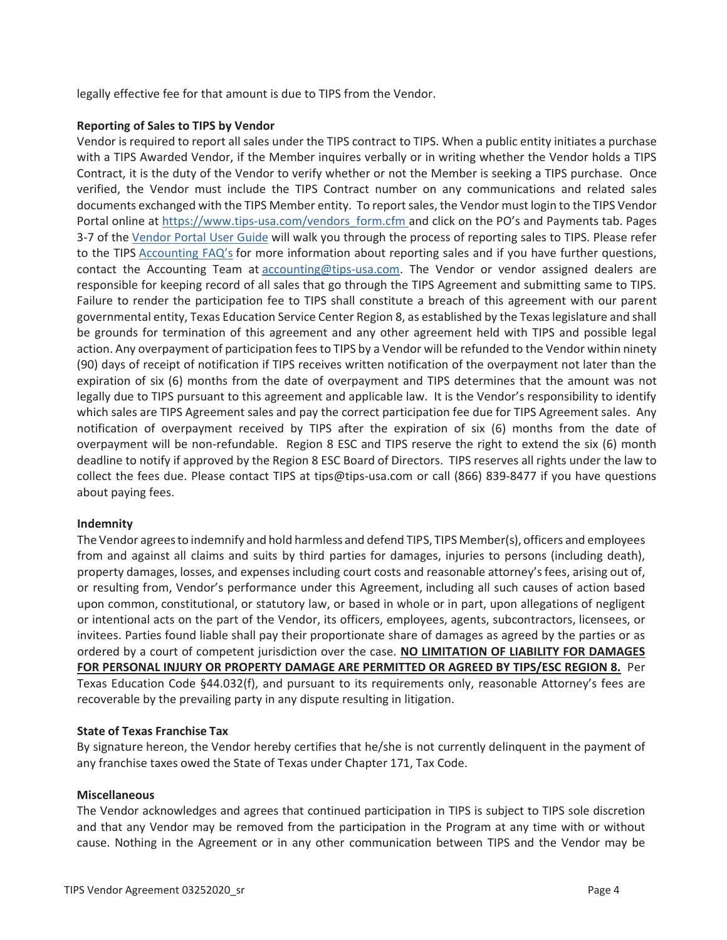legally effective fee for that amount is due to TIPS from the Vendor.

# **Reporting of Sales to TIPS by Vendor**

Vendor is required to report all sales under the TIPS contract to TIPS. When a public entity initiates a purchase with a TIPS Awarded Vendor, if the Member inquires verbally or in writing whether the Vendor holds a TIPS Contract, it is the duty of the Vendor to verify whether or not the Member is seeking a TIPS purchase. Once verified, the Vendor must include the TIPS Contract number on any communications and related sales documents exchanged with the TIPS Member entity. To report sales, the Vendor must login to the TIPS Vendor Portal online at https://www.tips-usa.com/vendors\_form.cfm and click on the PO's and Payments tab. Pages 3-7 of the Vendor Portal User Guide will walk you through the process of reporting sales to TIPS. Please refer to the TIPS Accounting FAQ's for more information about reporting sales and if you have further questions, contact the Accounting Team at accounting@tips-usa.com. The Vendor or vendor assigned dealers are responsible for keeping record of all sales that go through the TIPS Agreement and submitting same to TIPS. Failure to render the participation fee to TIPS shall constitute a breach of this agreement with our parent governmental entity, Texas Education Service Center Region 8, as established by the Texas legislature and shall be grounds for termination of this agreement and any other agreement held with TIPS and possible legal action. Any overpayment of participation fees to TIPS by a Vendor will be refunded to the Vendor within ninety (90) days of receipt of notification if TIPS receives written notification of the overpayment not later than the expiration of six (6) months from the date of overpayment and TIPS determines that the amount was not legally due to TIPS pursuant to this agreement and applicable law. It is the Vendor's responsibility to identify which sales are TIPS Agreement sales and pay the correct participation fee due for TIPS Agreement sales. Any notification of overpayment received by TIPS after the expiration of six (6) months from the date of overpayment will be non-refundable. Region 8 ESC and TIPS reserve the right to extend the six (6) month deadline to notify if approved by the Region 8 ESC Board of Directors. TIPS reserves all rights under the law to collect the fees due. Please contact TIPS at tips@tips-usa.com or call (866) 839-8477 if you have questions about paying fees.

# **Indemnity**

The Vendor agrees to indemnify and hold harmless and defend TIPS, TIPS Member(s), officers and employees from and against all claims and suits by third parties for damages, injuries to persons (including death), property damages, losses, and expenses including court costs and reasonable attorney's fees, arising out of, or resulting from, Vendor's performance under this Agreement, including all such causes of action based upon common, constitutional, or statutory law, or based in whole or in part, upon allegations of negligent or intentional acts on the part of the Vendor, its officers, employees, agents, subcontractors, licensees, or invitees. Parties found liable shall pay their proportionate share of damages as agreed by the parties or as ordered by a court of competent jurisdiction over the case. **NO LIMITATION OF LIABILITY FOR DAMAGES FOR PERSONAL INJURY OR PROPERTY DAMAGE ARE PERMITTED OR AGREED BY TIPS/ESC REGION 8.** Per Texas Education Code §44.032(f), and pursuant to its requirements only, reasonable Attorney's fees are recoverable by the prevailing party in any dispute resulting in litigation.

# **State of Texas Franchise Tax**

By signature hereon, the Vendor hereby certifies that he/she is not currently delinquent in the payment of any franchise taxes owed the State of Texas under Chapter 171, Tax Code.

# **Miscellaneous**

The Vendor acknowledges and agrees that continued participation in TIPS is subject to TIPS sole discretion and that any Vendor may be removed from the participation in the Program at any time with or without cause. Nothing in the Agreement or in any other communication between TIPS and the Vendor may be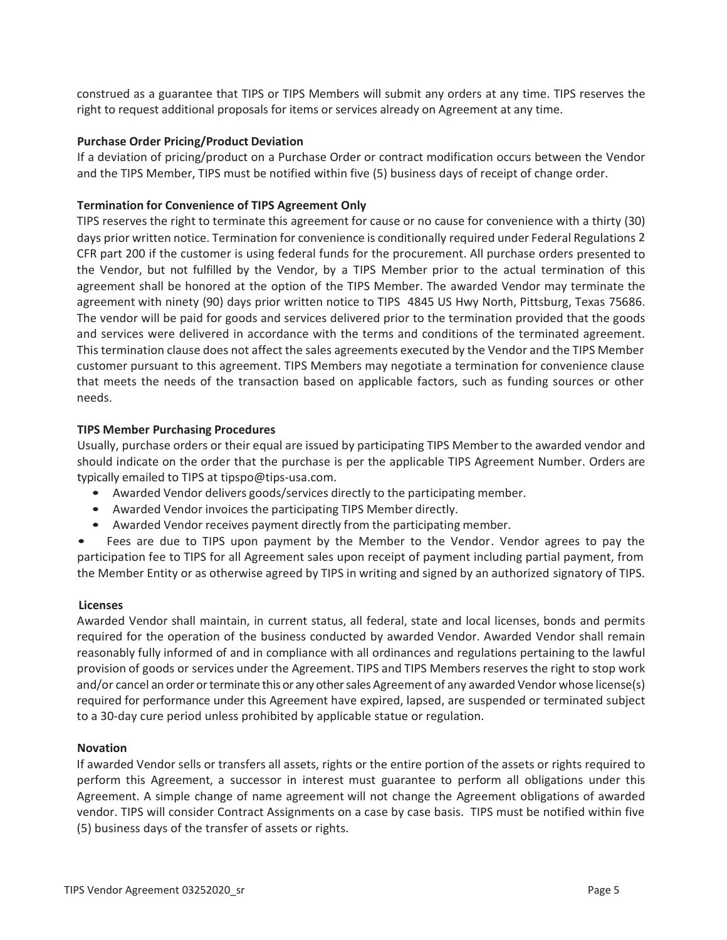construed as a guarantee that TIPS or TIPS Members will submit any orders at any time. TIPS reserves the right to request additional proposals for items or services already on Agreement at any time.

# **Purchase Order Pricing/Product Deviation**

If a deviation of pricing/product on a Purchase Order or contract modification occurs between the Vendor and the TIPS Member, TIPS must be notified within five (5) business days of receipt of change order.

# **Termination for Convenience of TIPS Agreement Only**

TIPS reserves the right to terminate this agreement for cause or no cause for convenience with a thirty (30) days prior written notice. Termination for convenience is conditionally required under Federal Regulations 2 CFR part 200 if the customer is using federal funds for the procurement. All purchase orders presented to the Vendor, but not fulfilled by the Vendor, by a TIPS Member prior to the actual termination of this agreement shall be honored at the option of the TIPS Member. The awarded Vendor may terminate the agreement with ninety (90) days prior written notice to TIPS 4845 US Hwy North, Pittsburg, Texas 75686. The vendor will be paid for goods and services delivered prior to the termination provided that the goods and services were delivered in accordance with the terms and conditions of the terminated agreement. This termination clause does not affect the sales agreements executed by the Vendor and the TIPS Member customer pursuant to this agreement. TIPS Members may negotiate a termination for convenience clause that meets the needs of the transaction based on applicable factors, such as funding sources or other needs.

# **TIPS Member Purchasing Procedures**

Usually, purchase orders or their equal are issued by participating TIPS Member to the awarded vendor and should indicate on the order that the purchase is per the applicable TIPS Agreement Number. Orders are typically emailed to TIPS at tipspo@tips-usa.com.

- Awarded Vendor delivers goods/services directly to the participating member.
- Awarded Vendor invoices the participating TIPS Member directly.
- Awarded Vendor receives payment directly from the participating member.

• Fees are due to TIPS upon payment by the Member to the Vendor. Vendor agrees to pay the participation fee to TIPS for all Agreement sales upon receipt of payment including partial payment, from the Member Entity or as otherwise agreed by TIPS in writing and signed by an authorized signatory of TIPS.

# **Licenses**

Awarded Vendor shall maintain, in current status, all federal, state and local licenses, bonds and permits required for the operation of the business conducted by awarded Vendor. Awarded Vendor shall remain reasonably fully informed of and in compliance with all ordinances and regulations pertaining to the lawful provision of goods or services under the Agreement. TIPS and TIPS Members reserves the right to stop work and/or cancel an order or terminate this or any other sales Agreement of any awarded Vendor whose license(s) required for performance under this Agreement have expired, lapsed, are suspended or terminated subject to a 30-day cure period unless prohibited by applicable statue or regulation.

# **Novation**

If awarded Vendor sells or transfers all assets, rights or the entire portion of the assets or rights required to perform this Agreement, a successor in interest must guarantee to perform all obligations under this Agreement. A simple change of name agreement will not change the Agreement obligations of awarded vendor. TIPS will consider Contract Assignments on a case by case basis. TIPS must be notified within five (5) business days of the transfer of assets or rights.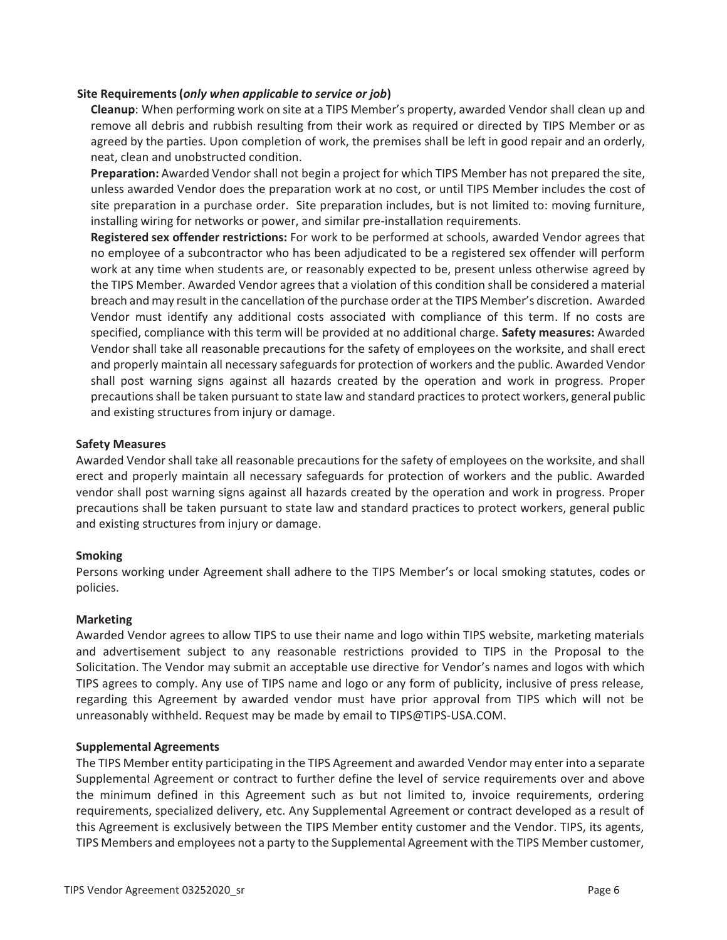# **Site Requirements (***only when applicable to service or job***)**

**Cleanup**: When performing work on site at a TIPS Member's property, awarded Vendor shall clean up and remove all debris and rubbish resulting from their work as required or directed by TIPS Member or as agreed by the parties. Upon completion of work, the premises shall be left in good repair and an orderly, neat, clean and unobstructed condition.

**Preparation:** Awarded Vendor shall not begin a project for which TIPS Member has not prepared the site, unless awarded Vendor does the preparation work at no cost, or until TIPS Member includes the cost of site preparation in a purchase order. Site preparation includes, but is not limited to: moving furniture, installing wiring for networks or power, and similar pre-installation requirements.

**Registered sex offender restrictions:** For work to be performed at schools, awarded Vendor agrees that no employee of a subcontractor who has been adjudicated to be a registered sex offender will perform work at any time when students are, or reasonably expected to be, present unless otherwise agreed by the TIPS Member. Awarded Vendor agrees that a violation of this condition shall be considered a material breach and may result in the cancellation of the purchase order at the TIPS Member's discretion. Awarded Vendor must identify any additional costs associated with compliance of this term. If no costs are specified, compliance with this term will be provided at no additional charge. **Safety measures:** Awarded Vendor shall take all reasonable precautions for the safety of employees on the worksite, and shall erect and properly maintain all necessary safeguards for protection of workers and the public. Awarded Vendor shall post warning signs against all hazards created by the operation and work in progress. Proper precautions shall be taken pursuant to state law and standard practices to protect workers, general public and existing structures from injury or damage.

# **Safety Measures**

Awarded Vendor shall take all reasonable precautions for the safety of employees on the worksite, and shall erect and properly maintain all necessary safeguards for protection of workers and the public. Awarded vendor shall post warning signs against all hazards created by the operation and work in progress. Proper precautions shall be taken pursuant to state law and standard practices to protect workers, general public and existing structures from injury or damage.

# **Smoking**

Persons working under Agreement shall adhere to the TIPS Member's or local smoking statutes, codes or policies.

# **Marketing**

Awarded Vendor agrees to allow TIPS to use their name and logo within TIPS website, marketing materials and advertisement subject to any reasonable restrictions provided to TIPS in the Proposal to the Solicitation. The Vendor may submit an acceptable use directive for Vendor's names and logos with which TIPS agrees to comply. Any use of TIPS name and logo or any form of publicity, inclusive of press release, regarding this Agreement by awarded vendor must have prior approval from TIPS which will not be unreasonably withheld. Request may be made by email to TIPS@TIPS-USA.COM.

# **Supplemental Agreements**

The TIPS Member entity participating in the TIPS Agreement and awarded Vendor may enter into a separate Supplemental Agreement or contract to further define the level of service requirements over and above the minimum defined in this Agreement such as but not limited to, invoice requirements, ordering requirements, specialized delivery, etc. Any Supplemental Agreement or contract developed as a result of this Agreement is exclusively between the TIPS Member entity customer and the Vendor. TIPS, its agents, TIPS Members and employees not a party to the Supplemental Agreement with the TIPS Member customer,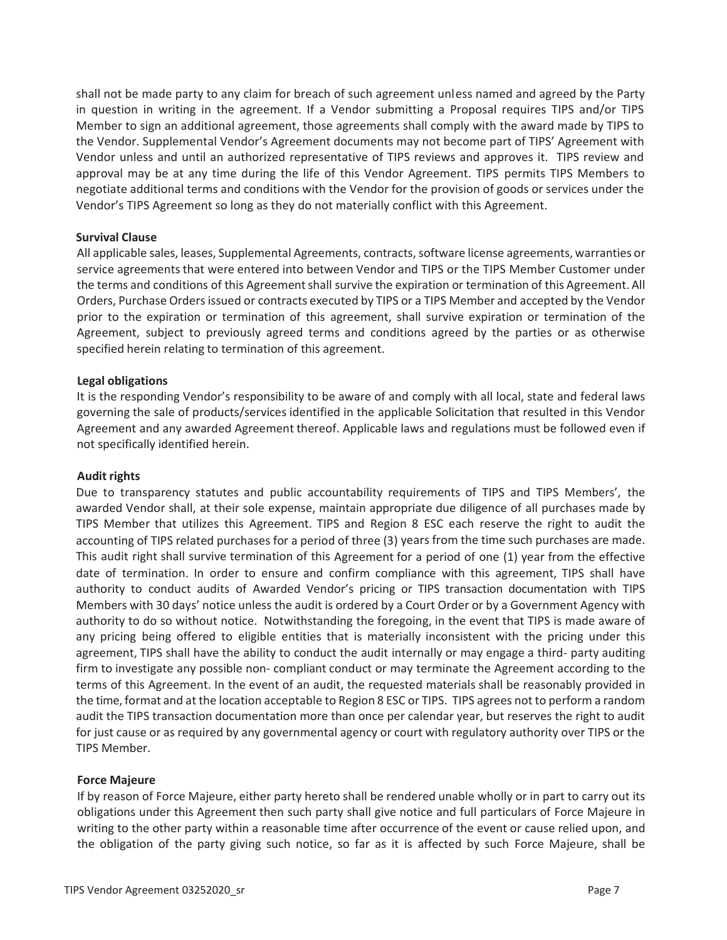shall not be made party to any claim for breach of such agreement unless named and agreed by the Party in question in writing in the agreement. If a Vendor submitting a Proposal requires TIPS and/or TIPS Member to sign an additional agreement, those agreements shall comply with the award made by TIPS to the Vendor. Supplemental Vendor's Agreement documents may not become part of TIPS' Agreement with Vendor unless and until an authorized representative of TIPS reviews and approves it. TIPS review and approval may be at any time during the life of this Vendor Agreement. TIPS permits TIPS Members to negotiate additional terms and conditions with the Vendor for the provision of goods or services under the Vendor's TIPS Agreement so long as they do not materially conflict with this Agreement.

# **Survival Clause**

All applicable sales, leases, Supplemental Agreements, contracts, software license agreements, warranties or service agreements that were entered into between Vendor and TIPS or the TIPS Member Customer under the terms and conditions of this Agreement shall survive the expiration or termination of this Agreement. All Orders, Purchase Orders issued or contracts executed by TIPS or a TIPS Member and accepted by the Vendor prior to the expiration or termination of this agreement, shall survive expiration or termination of the Agreement, subject to previously agreed terms and conditions agreed by the parties or as otherwise specified herein relating to termination of this agreement.

# **Legal obligations**

It is the responding Vendor's responsibility to be aware of and comply with all local, state and federal laws governing the sale of products/services identified in the applicable Solicitation that resulted in this Vendor Agreement and any awarded Agreement thereof. Applicable laws and regulations must be followed even if not specifically identified herein.

# **Audit rights**

Due to transparency statutes and public accountability requirements of TIPS and TIPS Members', the awarded Vendor shall, at their sole expense, maintain appropriate due diligence of all purchases made by TIPS Member that utilizes this Agreement. TIPS and Region 8 ESC each reserve the right to audit the accounting of TIPS related purchases for a period of three (3) years from the time such purchases are made. This audit right shall survive termination of this Agreement for a period of one (1) year from the effective date of termination. In order to ensure and confirm compliance with this agreement, TIPS shall have authority to conduct audits of Awarded Vendor's pricing or TIPS transaction documentation with TIPS Members with 30 days' notice unless the audit is ordered by a Court Order or by a Government Agency with authority to do so without notice. Notwithstanding the foregoing, in the event that TIPS is made aware of any pricing being offered to eligible entities that is materially inconsistent with the pricing under this agreement, TIPS shall have the ability to conduct the audit internally or may engage a third- party auditing firm to investigate any possible non- compliant conduct or may terminate the Agreement according to the terms of this Agreement. In the event of an audit, the requested materials shall be reasonably provided in the time, format and at the location acceptable to Region 8 ESC or TIPS. TIPS agrees not to perform a random audit the TIPS transaction documentation more than once per calendar year, but reserves the right to audit for just cause or as required by any governmental agency or court with regulatory authority over TIPS or the TIPS Member.

# **Force Majeure**

If by reason of Force Majeure, either party hereto shall be rendered unable wholly or in part to carry out its obligations under this Agreement then such party shall give notice and full particulars of Force Majeure in writing to the other party within a reasonable time after occurrence of the event or cause relied upon, and the obligation of the party giving such notice, so far as it is affected by such Force Majeure, shall be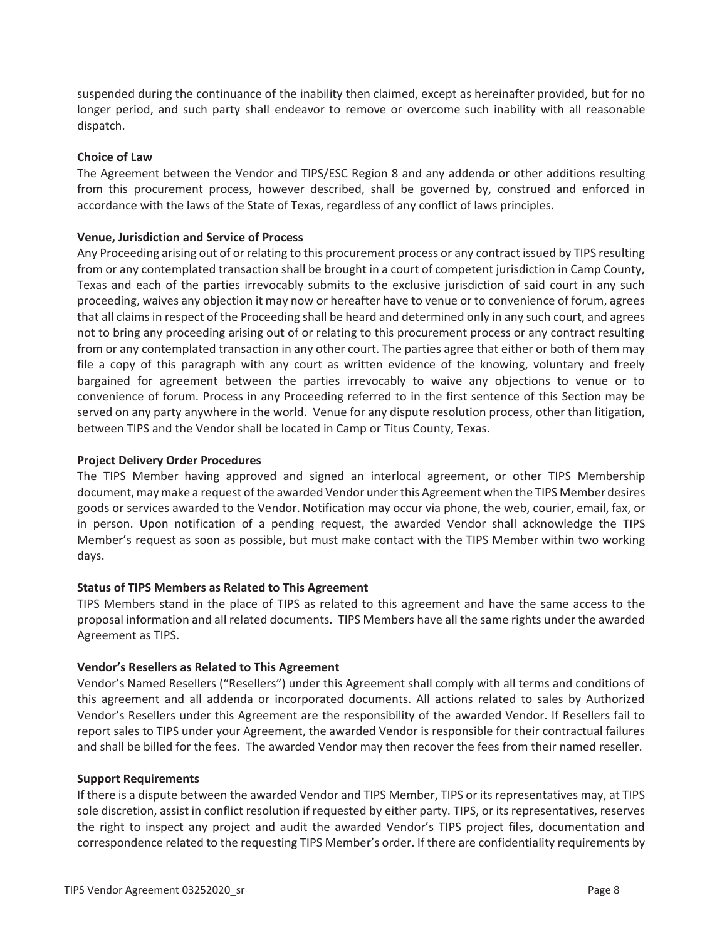suspended during the continuance of the inability then claimed, except as hereinafter provided, but for no longer period, and such party shall endeavor to remove or overcome such inability with all reasonable dispatch.

# **Choice of Law**

The Agreement between the Vendor and TIPS/ESC Region 8 and any addenda or other additions resulting from this procurement process, however described, shall be governed by, construed and enforced in accordance with the laws of the State of Texas, regardless of any conflict of laws principles.

# **Venue, Jurisdiction and Service of Process**

Any Proceeding arising out of or relating to this procurement process or any contract issued by TIPS resulting from or any contemplated transaction shall be brought in a court of competent jurisdiction in Camp County, Texas and each of the parties irrevocably submits to the exclusive jurisdiction of said court in any such proceeding, waives any objection it may now or hereafter have to venue or to convenience of forum, agrees that all claims in respect of the Proceeding shall be heard and determined only in any such court, and agrees not to bring any proceeding arising out of or relating to this procurement process or any contract resulting from or any contemplated transaction in any other court. The parties agree that either or both of them may file a copy of this paragraph with any court as written evidence of the knowing, voluntary and freely bargained for agreement between the parties irrevocably to waive any objections to venue or to convenience of forum. Process in any Proceeding referred to in the first sentence of this Section may be served on any party anywhere in the world. Venue for any dispute resolution process, other than litigation, between TIPS and the Vendor shall be located in Camp or Titus County, Texas.

# **Project Delivery Order Procedures**

The TIPS Member having approved and signed an interlocal agreement, or other TIPS Membership document, may make a request of the awarded Vendor under this Agreement when the TIPS Member desires goods or services awarded to the Vendor. Notification may occur via phone, the web, courier, email, fax, or in person. Upon notification of a pending request, the awarded Vendor shall acknowledge the TIPS Member's request as soon as possible, but must make contact with the TIPS Member within two working days.

# **Status of TIPS Members as Related to This Agreement**

TIPS Members stand in the place of TIPS as related to this agreement and have the same access to the proposal information and all related documents. TIPS Members have all the same rights under the awarded Agreement as TIPS.

# **Vendor's Resellers as Related to This Agreement**

Vendor's Named Resellers ("Resellers") under this Agreement shall comply with all terms and conditions of this agreement and all addenda or incorporated documents. All actions related to sales by Authorized Vendor's Resellers under this Agreement are the responsibility of the awarded Vendor. If Resellers fail to report sales to TIPS under your Agreement, the awarded Vendor is responsible for their contractual failures and shall be billed for the fees. The awarded Vendor may then recover the fees from their named reseller.

# **Support Requirements**

If there is a dispute between the awarded Vendor and TIPS Member, TIPS or its representatives may, at TIPS sole discretion, assist in conflict resolution if requested by either party. TIPS, or its representatives, reserves the right to inspect any project and audit the awarded Vendor's TIPS project files, documentation and correspondence related to the requesting TIPS Member's order. If there are confidentiality requirements by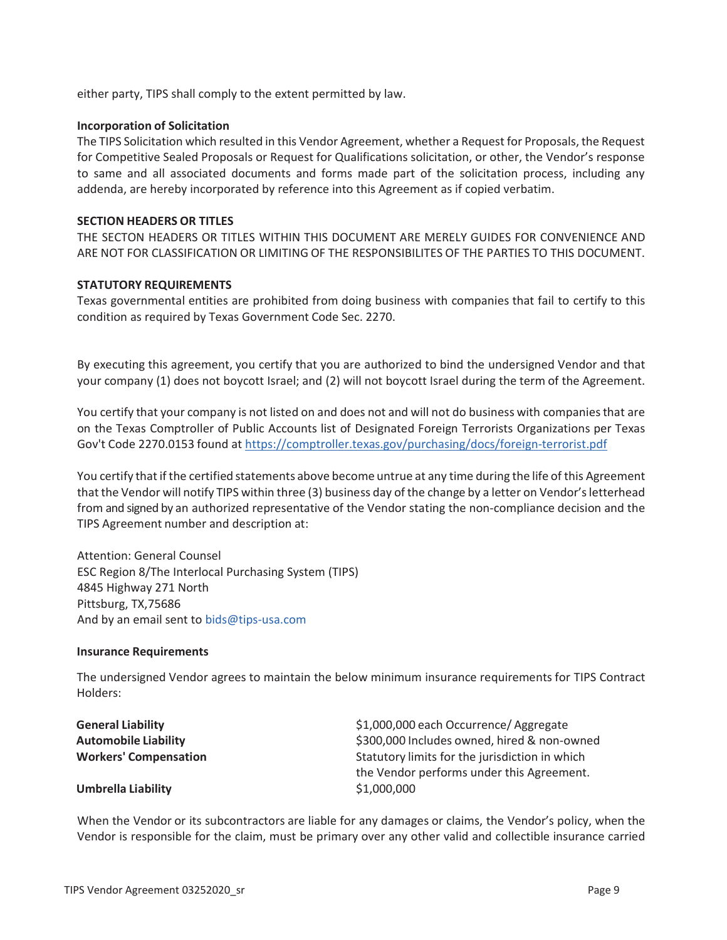either party, TIPS shall comply to the extent permitted by law.

# **Incorporation of Solicitation**

The TIPS Solicitation which resulted in this Vendor Agreement, whether a Request for Proposals, the Request for Competitive Sealed Proposals or Request for Qualifications solicitation, or other, the Vendor's response to same and all associated documents and forms made part of the solicitation process, including any addenda, are hereby incorporated by reference into this Agreement as if copied verbatim.

# **SECTION HEADERS OR TITLES**

THE SECTON HEADERS OR TITLES WITHIN THIS DOCUMENT ARE MERELY GUIDES FOR CONVENIENCE AND ARE NOT FOR CLASSIFICATION OR LIMITING OF THE RESPONSIBILITES OF THE PARTIES TO THIS DOCUMENT.

# **STATUTORY REQUIREMENTS**

Texas governmental entities are prohibited from doing business with companies that fail to certify to this condition as required by Texas Government Code Sec. 2270.

By executing this agreement, you certify that you are authorized to bind the undersigned Vendor and that your company (1) does not boycott Israel; and (2) will not boycott Israel during the term of the Agreement.

You certify that your company is not listed on and does not and will not do business with companies that are on the Texas Comptroller of Public Accounts list of Designated Foreign Terrorists Organizations per Texas Gov't Code 2270.0153 found at https://comptroller.texas.gov/purchasing/docs/foreign-terrorist.pdf

You certify that if the certified statements above become untrue at any time during the life of this Agreement that the Vendor will notify TIPS within three (3) business day of the change by a letter on Vendor's letterhead from and signed by an authorized representative of the Vendor stating the non-compliance decision and the TIPS Agreement number and description at:

Attention: General Counsel ESC Region 8/The Interlocal Purchasing System (TIPS) 4845 Highway 271 North Pittsburg, TX,75686 And by an email sent to bids@tips-usa.com

# **Insurance Requirements**

The undersigned Vendor agrees to maintain the below minimum insurance requirements for TIPS Contract Holders:

| <b>General Liability</b>     | \$1,000,000 each Occurrence/ Aggregate                                                      |
|------------------------------|---------------------------------------------------------------------------------------------|
| <b>Automobile Liability</b>  | \$300,000 Includes owned, hired & non-owned                                                 |
| <b>Workers' Compensation</b> | Statutory limits for the jurisdiction in which<br>the Vendor performs under this Agreement. |
| <b>Umbrella Liability</b>    | \$1,000,000                                                                                 |

When the Vendor or its subcontractors are liable for any damages or claims, the Vendor's policy, when the Vendor is responsible for the claim, must be primary over any other valid and collectible insurance carried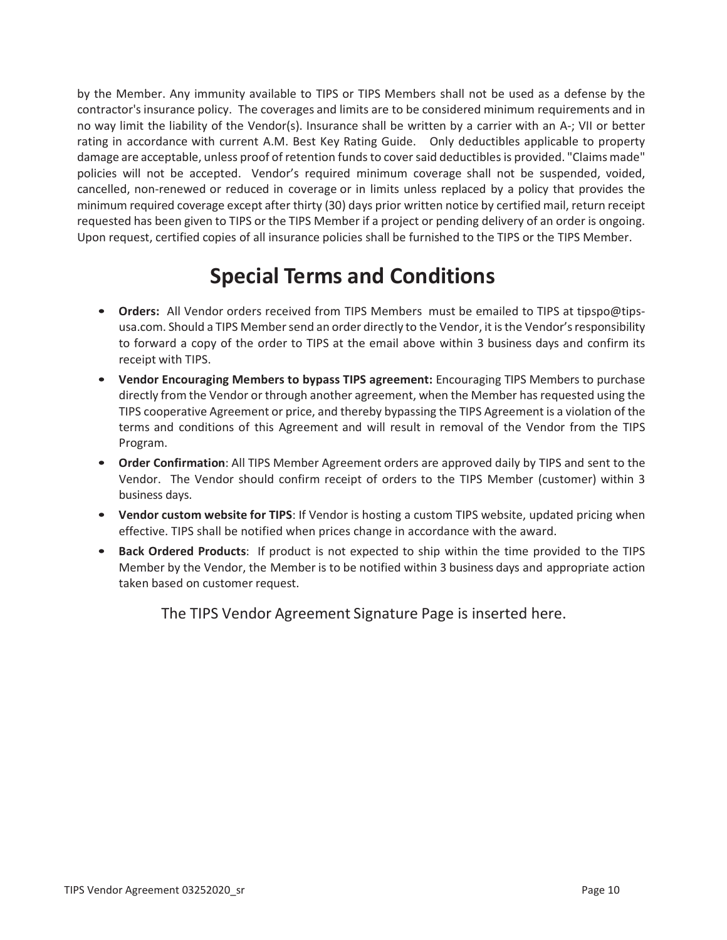by the Member. Any immunity available to TIPS or TIPS Members shall not be used as a defense by the contractor's insurance policy. The coverages and limits are to be considered minimum requirements and in no way limit the liability of the Vendor(s). Insurance shall be written by a carrier with an A-; VII or better rating in accordance with current A.M. Best Key Rating Guide. Only deductibles applicable to property damage are acceptable, unless proof of retention funds to cover said deductibles is provided. "Claims made" policies will not be accepted. Vendor's required minimum coverage shall not be suspended, voided, cancelled, non-renewed or reduced in coverage or in limits unless replaced by a policy that provides the minimum required coverage except after thirty (30) days prior written notice by certified mail, return receipt requested has been given to TIPS or the TIPS Member if a project or pending delivery of an order is ongoing. Upon request, certified copies of all insurance policies shall be furnished to the TIPS or the TIPS Member.

# **Special Terms and Conditions**

- **Orders:** All Vendor orders received from TIPS Members must be emailed to TIPS at tipspo@tipsusa.com. Should a TIPS Member send an order directly to the Vendor, it is the Vendor's responsibility to forward a copy of the order to TIPS at the email above within 3 business days and confirm its receipt with TIPS.
- **Vendor Encouraging Members to bypass TIPS agreement:** Encouraging TIPS Members to purchase directly from the Vendor or through another agreement, when the Member has requested using the TIPS cooperative Agreement or price, and thereby bypassing the TIPS Agreement is a violation of the terms and conditions of this Agreement and will result in removal of the Vendor from the TIPS Program.
- **Order Confirmation**: All TIPS Member Agreement orders are approved daily by TIPS and sent to the Vendor. The Vendor should confirm receipt of orders to the TIPS Member (customer) within 3 business days.
- **Vendor custom website for TIPS**: If Vendor is hosting a custom TIPS website, updated pricing when effective. TIPS shall be notified when prices change in accordance with the award.
- **Back Ordered Products**: If product is not expected to ship within the time provided to the TIPS Member by the Vendor, the Member is to be notified within 3 business days and appropriate action taken based on customer request.

The TIPS Vendor Agreement Signature Page is inserted here.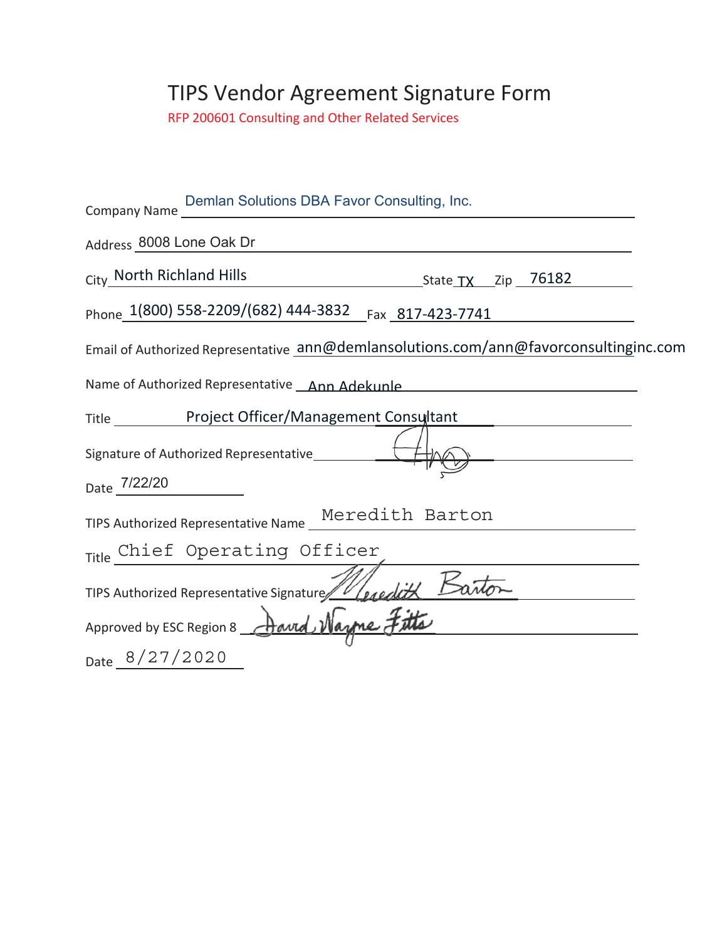# TIPS Vendor Agreement Signature Form

RFP 200601 Consulting and Other Related Services

| Demlan Solutions DBA Favor Consulting, Inc.<br>Company Name _______                   |
|---------------------------------------------------------------------------------------|
| Address 8008 Lone Oak Dr                                                              |
| City North Richland Hills<br>State <u>TX</u> Zip 76182                                |
| Phone 1(800) 558-2209/(682) 444-3832 Fax 817-423-7741                                 |
| Email of Authorized Representative ann@demlansolutions.com/ann@favorconsultinginc.com |
| Name of Authorized Representative Ann Adekunle                                        |
| Title <b>No. 2020</b> Project Officer/Management Consultant                           |
| Signature of Authorized Representative__________                                      |
| Date 7/22/20                                                                          |
| TIPS Authorized Representative Name Meredith Barton                                   |
| Title Chief Operating Officer                                                         |
| TIPS Authorized Representative Signature Wesedith Barton                              |
| Approved by ESC Region 8 Aavrd Nazne Fitts                                            |
| Date 8/27/2020                                                                        |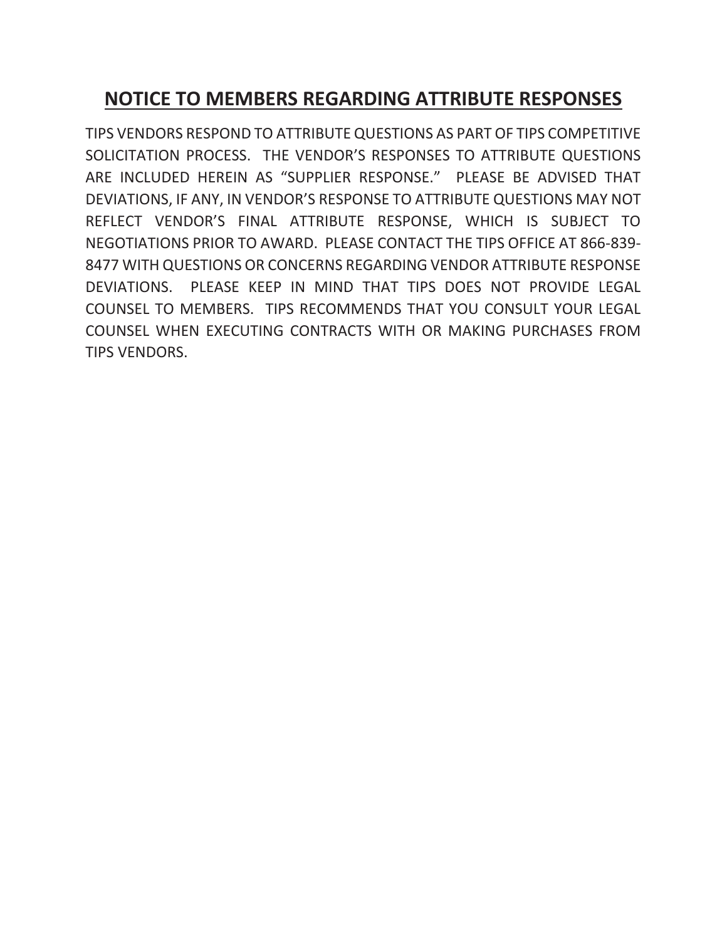# **NOTICE TO MEMBERS REGARDING ATTRIBUTE RESPONSES**

TIPS VENDORS RESPOND TO ATTRIBUTE QUESTIONS AS PART OF TIPS COMPETITIVE SOLICITATION PROCESS. THE VENDOR'S RESPONSES TO ATTRIBUTE QUESTIONS ARE INCLUDED HEREIN AS "SUPPLIER RESPONSE." PLEASE BE ADVISED THAT DEVIATIONS, IF ANY, IN VENDOR'S RESPONSE TO ATTRIBUTE QUESTIONS MAY NOT REFLECT VENDOR'S FINAL ATTRIBUTE RESPONSE, WHICH IS SUBJECT TO NEGOTIATIONS PRIOR TO AWARD. PLEASE CONTACT THE TIPS OFFICE AT 866-839- 8477 WITH QUESTIONS OR CONCERNS REGARDING VENDOR ATTRIBUTE RESPONSE DEVIATIONS. PLEASE KEEP IN MIND THAT TIPS DOES NOT PROVIDE LEGAL COUNSEL TO MEMBERS. TIPS RECOMMENDS THAT YOU CONSULT YOUR LEGAL COUNSEL WHEN EXECUTING CONTRACTS WITH OR MAKING PURCHASES FROM TIPS VENDORS.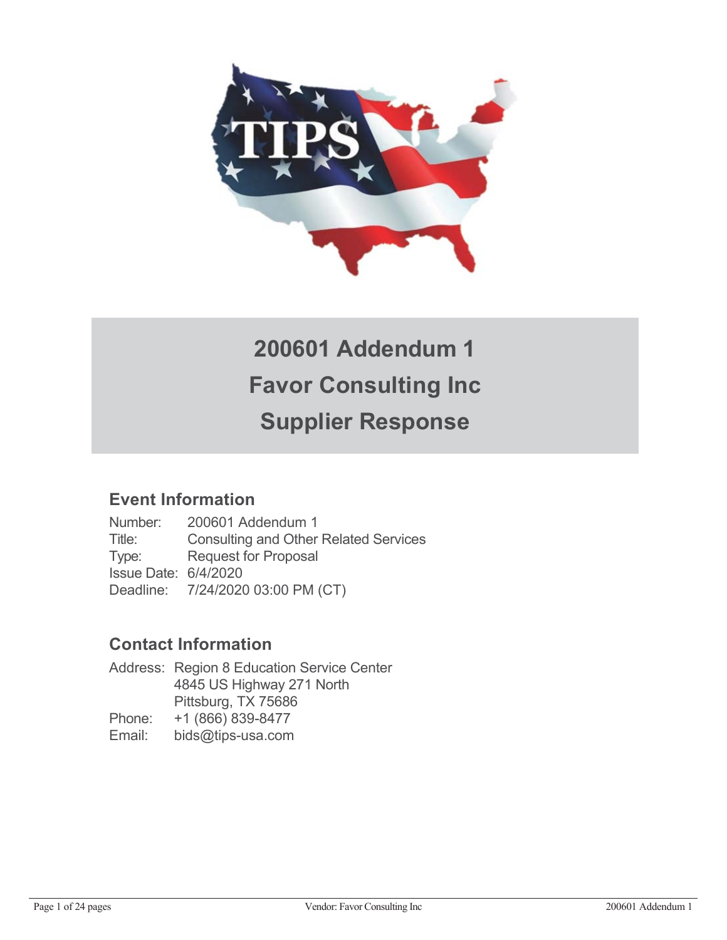

# **200601 Addendum 1 Favor Consulting Inc Supplier Response**

# **Event Information**

Number: 200601 Addendum 1 Title: Consulting and Other Related Services Type: Request for Proposal Issue Date: 6/4/2020 Deadline: 7/24/2020 03:00 PM (CT)

# **Contact Information**

Address: Region 8 Education Service Center 4845 US Highway 271 North Pittsburg, TX 75686 Phone: +1 (866) 839-8477 Email: bids@tips-usa.com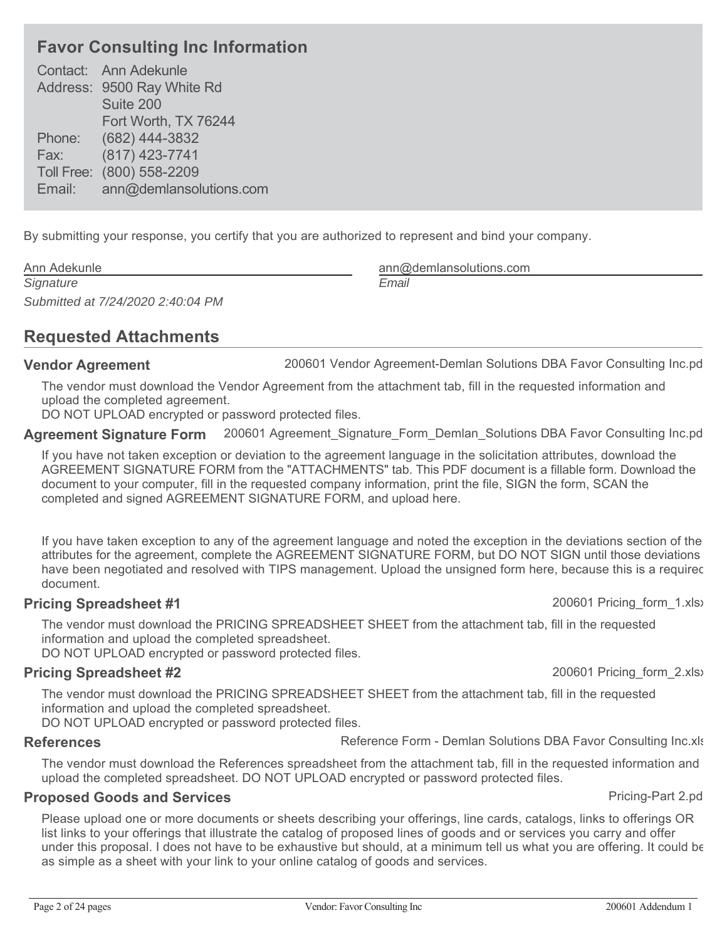# **Favor Consulting Inc Information**

Contact: Ann Adekunle Address: 9500 Ray White Rd Suite 200 Fort Worth, TX 76244 Phone: (682) 444-3832 Fax: (817) 423-7741 Toll Free: (800) 558-2209 Email: ann@demlansolutions.com

By submitting your response, you certify that you are authorized to represent and bind your company.

| Ann Adekunle                      | ann@  |
|-----------------------------------|-------|
| Signature                         | Email |
| Submitted at 7/24/2020 2:40:04 PM |       |

# **Requested Attachments**

**Vendor Agreement** 200601 Vendor Agreement-Demlan Solutions DBA Favor Consulting Inc.pd

The vendor must download the Vendor Agreement from the attachment tab, fill in the requested information and upload the completed agreement.

DO NOT UPLOAD encrypted or password protected files.

**Agreement Signature Form** 200601 Agreement\_Signature\_Form\_Demlan\_Solutions DBA Favor Consulting Inc.pd

If you have not taken exception or deviation to the agreement language in the solicitation attributes, download the AGREEMENT SIGNATURE FORM from the "ATTACHMENTS" tab. This PDF document is a fillable form. Download the document to your computer, fill in the requested company information, print the file, SIGN the form, SCAN the completed and signed AGREEMENT SIGNATURE FORM, and upload here.

If you have taken exception to any of the agreement language and noted the exception in the deviations section of the attributes for the agreement, complete the AGREEMENT SIGNATURE FORM, but DO NOT SIGN until those deviations have been negotiated and resolved with TIPS management. Upload the unsigned form here, because this is a requirec document.

# **Pricing Spreadsheet #1** 200601 Pricing\_form\_1.xlsx

The vendor must download the PRICING SPREADSHEET SHEET from the attachment tab, fill in the requested information and upload the completed spreadsheet.

DO NOT UPLOAD encrypted or password protected files.

# **Pricing Spreadsheet #2** 200601 Pricing\_form\_2.xlsx

The vendor must download the PRICING SPREADSHEET SHEET from the attachment tab, fill in the requested information and upload the completed spreadsheet.

DO NOT UPLOAD encrypted or password protected files.

**References Reference Form - Demlan Solutions DBA Favor Consulting Inc.xls** 

The vendor must download the References spreadsheet from the attachment tab, fill in the requested information and upload the completed spreadsheet. DO NOT UPLOAD encrypted or password protected files.

# **Proposed Goods and Services Proposed Goods and Services Proposed Coods and Services**

Please upload one or more documents or sheets describing your offerings, line cards, catalogs, links to offerings OR list links to your offerings that illustrate the catalog of proposed lines of goods and or services you carry and offer under this proposal. I does not have to be exhaustive but should, at a minimum tell us what you are offering. It could be as simple as a sheet with your link to your online catalog of goods and services.

ann@demlansolutions.com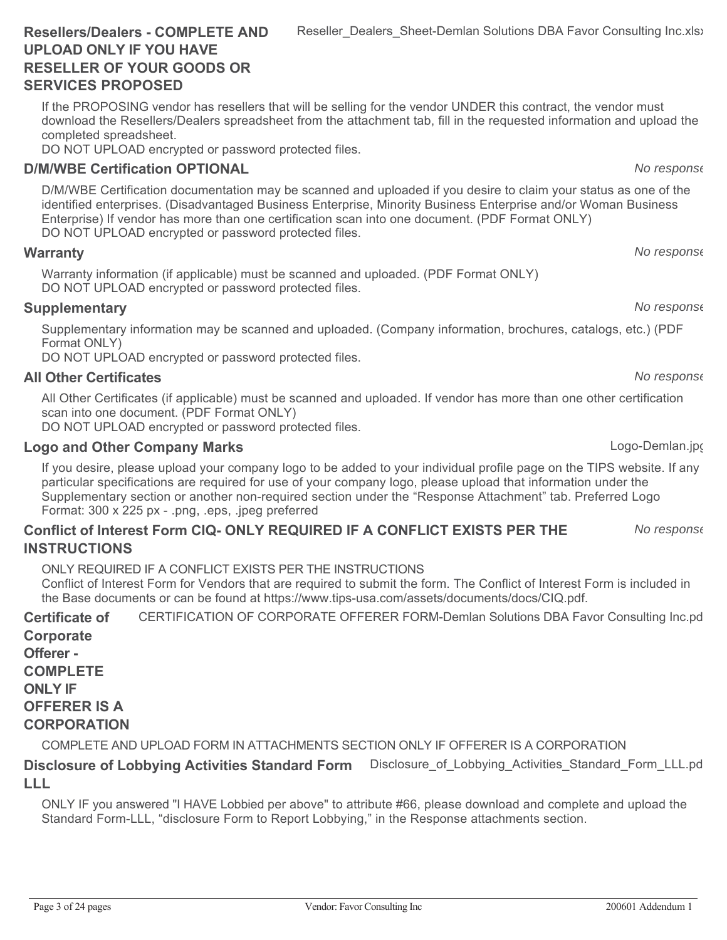If the PROPOSING vendor has resellers that will be selling for the vendor UNDER this contract, the vendor must download the Resellers/Dealers spreadsheet from the attachment tab, fill in the requested information and upload the completed spreadsheet.

DO NOT UPLOAD encrypted or password protected files.

# **D/M/WBE Certification OPTIONAL** *No response*

D/M/WBE Certification documentation may be scanned and uploaded if you desire to claim your status as one of the identified enterprises. (Disadvantaged Business Enterprise, Minority Business Enterprise and/or Woman Business Enterprise) If vendor has more than one certification scan into one document. (PDF Format ONLY) DO NOT UPLOAD encrypted or password protected files.

# **Warranty** *No response*

Warranty information (if applicable) must be scanned and uploaded. (PDF Format ONLY) DO NOT UPLOAD encrypted or password protected files.

# **Supplementary** *No response*

Supplementary information may be scanned and uploaded. (Company information, brochures, catalogs, etc.) (PDF Format ONLY)

DO NOT UPLOAD encrypted or password protected files.

# **All Other Certificates** *No response*

All Other Certificates (if applicable) must be scanned and uploaded. If vendor has more than one other certification scan into one document. (PDF Format ONLY)

DO NOT UPLOAD encrypted or password protected files.

# **Logo and Other Company Marks Logo-Demlan.jpg** Logo-Demlan.jpg

If you desire, please upload your company logo to be added to your individual profile page on the TIPS website. If any particular specifications are required for use of your company logo, please upload that information under the Supplementary section or another non-required section under the "Response Attachment" tab. Preferred Logo Format: 300 x 225 px - .png, .eps, .jpeg preferred

# **Conflict of Interest Form CIQ- ONLY REQUIRED IF A CONFLICT EXISTS PER THE INSTRUCTIONS**

ONLY REQUIRED IF A CONFLICT EXISTS PER THE INSTRUCTIONS

Conflict of Interest Form for Vendors that are required to submit the form. The Conflict of Interest Form is included in the Base documents or can be found at https://www.tips-usa.com/assets/documents/docs/CIQ.pdf.

**Certificate of Corporate** CERTIFICATION OF CORPORATE OFFERER FORM-Demlan Solutions DBA Favor Consulting Inc.pd

**Offerer - COMPLETE ONLY IF OFFERER IS A CORPORATION**

COMPLETE AND UPLOAD FORM IN ATTACHMENTS SECTION ONLY IF OFFERER IS A CORPORATION

### **Disclosure of Lobbying Activities Standard Form LLL** Disclosure of Lobbying Activities Standard Form LLL.pd

ONLY IF you answered "I HAVE Lobbied per above" to attribute #66, please download and complete and upload the Standard Form-LLL, "disclosure Form to Report Lobbying," in the Response attachments section.

Reseller\_Dealers\_Sheet-Demlan Solutions DBA Favor Consulting Inc.xlsx

*No response*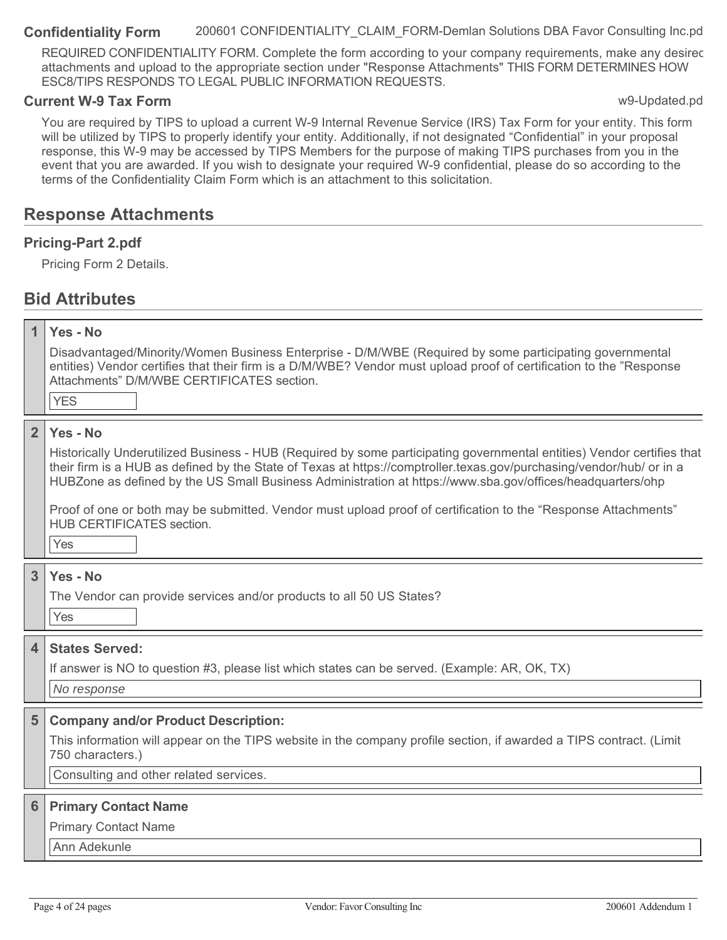**Confidentiality Form** 200601 CONFIDENTIALITY\_CLAIM\_FORM-Demlan Solutions DBA Favor Consulting Inc.pd

REQUIRED CONFIDENTIALITY FORM. Complete the form according to your company requirements, make any desirec attachments and upload to the appropriate section under "Response Attachments" THIS FORM DETERMINES HOW ESC8/TIPS RESPONDS TO LEGAL PUBLIC INFORMATION REQUESTS.

# **Current W-9 Tax Form was a strategies and the contract of the contract of the contract of the contract of the contract of the contract of the contract of the contract of the contract of the contract of the contract of t**

You are required by TIPS to upload a current W-9 Internal Revenue Service (IRS) Tax Form for your entity. This form will be utilized by TIPS to properly identify your entity. Additionally, if not designated "Confidential" in your proposal response, this W-9 may be accessed by TIPS Members for the purpose of making TIPS purchases from you in the event that you are awarded. If you wish to designate your required W-9 confidential, please do so according to the terms of the Confidentiality Claim Form which is an attachment to this solicitation.

# **Response Attachments**

# **Pricing-Part 2.pdf**

Pricing Form 2 Details.

# **Bid Attributes**

| 1                       | Yes - No                                                                                                                                                                                                                                                                                                                                                     |
|-------------------------|--------------------------------------------------------------------------------------------------------------------------------------------------------------------------------------------------------------------------------------------------------------------------------------------------------------------------------------------------------------|
|                         | Disadvantaged/Minority/Women Business Enterprise - D/M/WBE (Required by some participating governmental<br>entities) Vendor certifies that their firm is a D/M/WBE? Vendor must upload proof of certification to the "Response<br>Attachments" D/M/WBE CERTIFICATES section.                                                                                 |
|                         | <b>YES</b>                                                                                                                                                                                                                                                                                                                                                   |
| $\overline{2}$          | Yes - No                                                                                                                                                                                                                                                                                                                                                     |
|                         | Historically Underutilized Business - HUB (Required by some participating governmental entities) Vendor certifies that<br>their firm is a HUB as defined by the State of Texas at https://comptroller.texas.gov/purchasing/vendor/hub/ or in a<br>HUBZone as defined by the US Small Business Administration at https://www.sba.gov/offices/headquarters/ohp |
|                         | Proof of one or both may be submitted. Vendor must upload proof of certification to the "Response Attachments"<br><b>HUB CERTIFICATES section.</b>                                                                                                                                                                                                           |
|                         | Yes                                                                                                                                                                                                                                                                                                                                                          |
| $\overline{3}$          | Yes - No                                                                                                                                                                                                                                                                                                                                                     |
|                         | The Vendor can provide services and/or products to all 50 US States?                                                                                                                                                                                                                                                                                         |
|                         | Yes                                                                                                                                                                                                                                                                                                                                                          |
| $\overline{\mathbf{4}}$ | <b>States Served:</b>                                                                                                                                                                                                                                                                                                                                        |
|                         | If answer is NO to question #3, please list which states can be served. (Example: AR, OK, TX)                                                                                                                                                                                                                                                                |
|                         | No response                                                                                                                                                                                                                                                                                                                                                  |
| 5                       | <b>Company and/or Product Description:</b>                                                                                                                                                                                                                                                                                                                   |
|                         | This information will appear on the TIPS website in the company profile section, if awarded a TIPS contract. (Limit<br>750 characters.)                                                                                                                                                                                                                      |
|                         | Consulting and other related services.                                                                                                                                                                                                                                                                                                                       |
| 6                       | <b>Primary Contact Name</b>                                                                                                                                                                                                                                                                                                                                  |
|                         | <b>Primary Contact Name</b>                                                                                                                                                                                                                                                                                                                                  |
|                         | Ann Adekunle                                                                                                                                                                                                                                                                                                                                                 |
|                         |                                                                                                                                                                                                                                                                                                                                                              |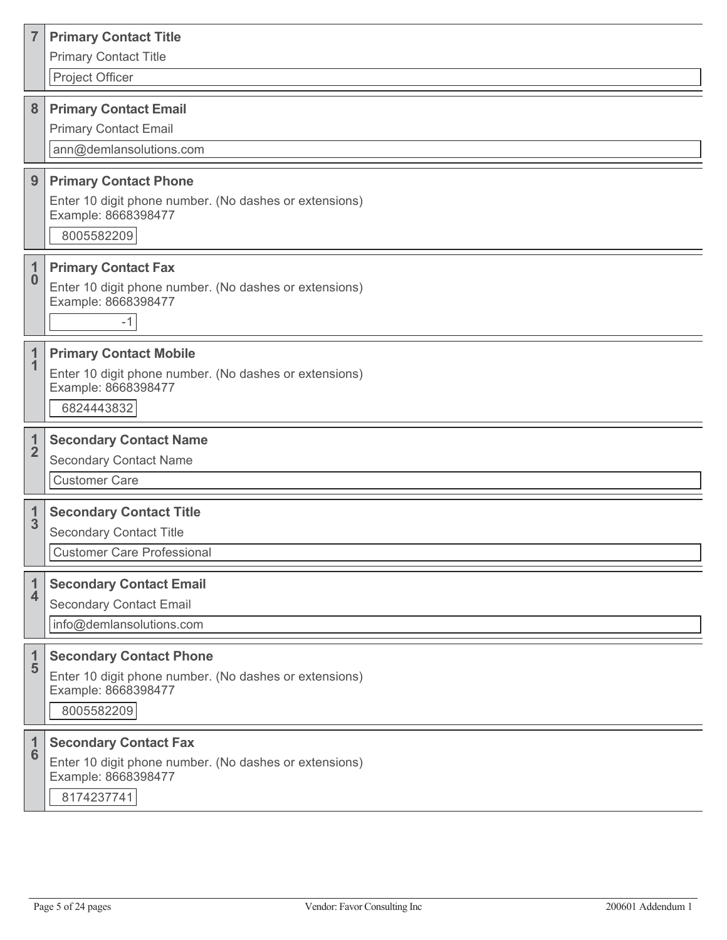| $\overline{7}$          | <b>Primary Contact Title</b><br><b>Primary Contact Title</b><br>Project Officer                                               |
|-------------------------|-------------------------------------------------------------------------------------------------------------------------------|
| 8                       | <b>Primary Contact Email</b><br><b>Primary Contact Email</b><br>ann@demlansolutions.com                                       |
| 9                       | <b>Primary Contact Phone</b><br>Enter 10 digit phone number. (No dashes or extensions)<br>Example: 8668398477<br>8005582209   |
| $\bf{0}$                | <b>Primary Contact Fax</b><br>Enter 10 digit phone number. (No dashes or extensions)<br>Example: 8668398477<br>$-1$           |
| 1                       | <b>Primary Contact Mobile</b><br>Enter 10 digit phone number. (No dashes or extensions)<br>Example: 8668398477<br>6824443832  |
| $\frac{1}{2}$           | <b>Secondary Contact Name</b><br><b>Secondary Contact Name</b><br><b>Customer Care</b>                                        |
| $\frac{1}{3}$           | <b>Secondary Contact Title</b><br><b>Secondary Contact Title</b><br><b>Customer Care Professional</b>                         |
| $\overline{\mathbf{4}}$ | <b>Secondary Contact Email</b><br><b>Secondary Contact Email</b><br>info@demlansolutions.com                                  |
| $\frac{1}{5}$           | <b>Secondary Contact Phone</b><br>Enter 10 digit phone number. (No dashes or extensions)<br>Example: 8668398477<br>8005582209 |
| $\frac{1}{6}$           | <b>Secondary Contact Fax</b><br>Enter 10 digit phone number. (No dashes or extensions)<br>Example: 8668398477<br>8174237741   |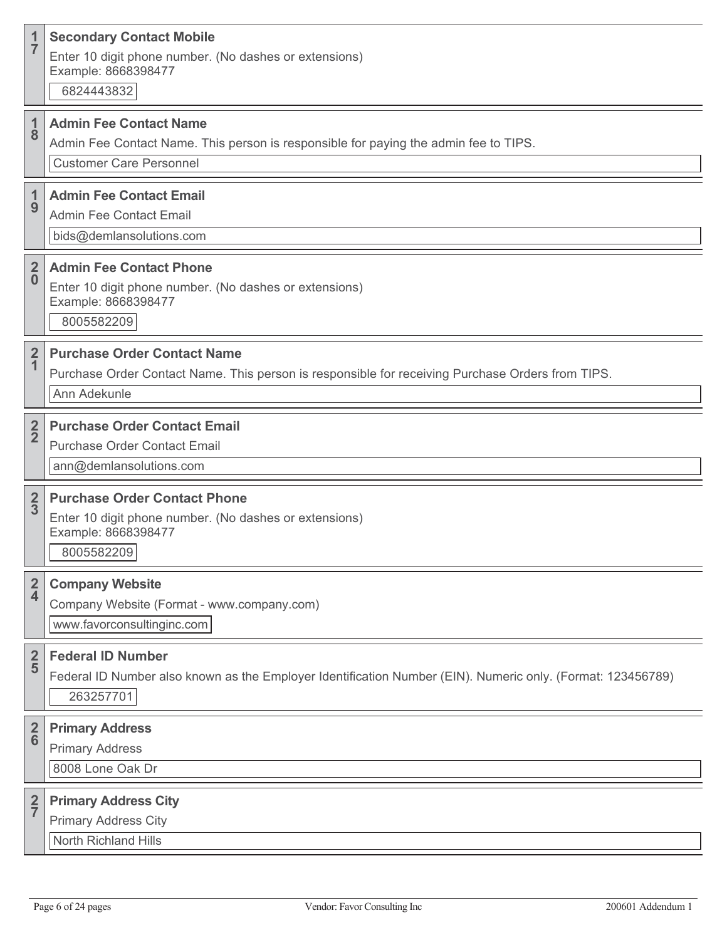| 1<br>$\overline{7}$        | <b>Secondary Contact Mobile</b><br>Enter 10 digit phone number. (No dashes or extensions)<br>Example: 8668398477<br>6824443832                          |
|----------------------------|---------------------------------------------------------------------------------------------------------------------------------------------------------|
| 1<br>8                     | <b>Admin Fee Contact Name</b><br>Admin Fee Contact Name. This person is responsible for paying the admin fee to TIPS.<br><b>Customer Care Personnel</b> |
| 1<br>9                     | <b>Admin Fee Contact Email</b><br><b>Admin Fee Contact Email</b><br>bids@demlansolutions.com                                                            |
| $\overline{2}$<br>$\bf{0}$ | <b>Admin Fee Contact Phone</b><br>Enter 10 digit phone number. (No dashes or extensions)<br>Example: 8668398477<br>8005582209                           |
| $\frac{2}{1}$              | <b>Purchase Order Contact Name</b><br>Purchase Order Contact Name. This person is responsible for receiving Purchase Orders from TIPS.<br>Ann Adekunle  |
| $\frac{2}{2}$              | <b>Purchase Order Contact Email</b><br><b>Purchase Order Contact Email</b><br>ann@demlansolutions.com                                                   |
| $\frac{2}{3}$              | <b>Purchase Order Contact Phone</b><br>Enter 10 digit phone number. (No dashes or extensions)<br>Example: 8668398477<br>8005582209                      |
| $\frac{2}{4}$              | <b>Company Website</b><br>Company Website (Format - www.company.com)<br>www.favorconsultinginc.com                                                      |
| $rac{2}{5}$                | <b>Federal ID Number</b><br>Federal ID Number also known as the Employer Identification Number (EIN). Numeric only. (Format: 123456789)<br>263257701    |
| $rac{2}{6}$                | <b>Primary Address</b><br><b>Primary Address</b><br>8008 Lone Oak Dr                                                                                    |
| $rac{2}{7}$                | <b>Primary Address City</b><br><b>Primary Address City</b><br>North Richland Hills                                                                      |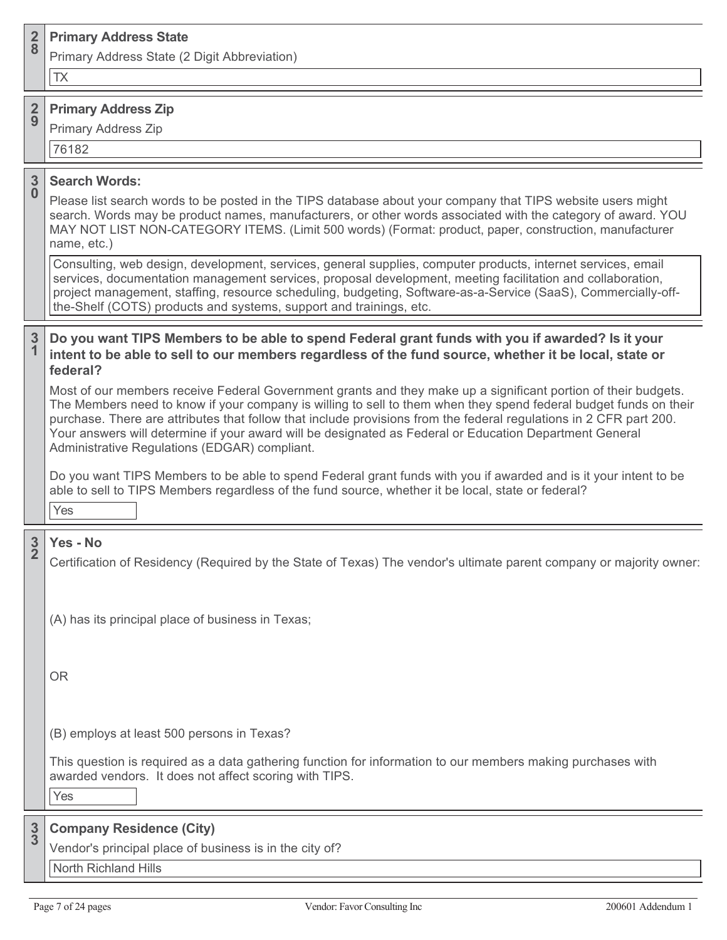| $rac{2}{8}$                   | <b>Primary Address State</b>                                                                                                                                                                                                                                                                                                                                                                                                                                                                                          |
|-------------------------------|-----------------------------------------------------------------------------------------------------------------------------------------------------------------------------------------------------------------------------------------------------------------------------------------------------------------------------------------------------------------------------------------------------------------------------------------------------------------------------------------------------------------------|
|                               | Primary Address State (2 Digit Abbreviation)<br><b>TX</b>                                                                                                                                                                                                                                                                                                                                                                                                                                                             |
| $rac{2}{9}$                   | <b>Primary Address Zip</b><br><b>Primary Address Zip</b><br>76182                                                                                                                                                                                                                                                                                                                                                                                                                                                     |
| $\frac{3}{0}$                 | <b>Search Words:</b><br>Please list search words to be posted in the TIPS database about your company that TIPS website users might<br>search. Words may be product names, manufacturers, or other words associated with the category of award. YOU<br>MAY NOT LIST NON-CATEGORY ITEMS. (Limit 500 words) (Format: product, paper, construction, manufacturer<br>name, etc.)<br>Consulting, web design, development, services, general supplies, computer products, internet services, email                          |
|                               | services, documentation management services, proposal development, meeting facilitation and collaboration,<br>project management, staffing, resource scheduling, budgeting, Software-as-a-Service (SaaS), Commercially-off-<br>the-Shelf (COTS) products and systems, support and trainings, etc.                                                                                                                                                                                                                     |
| $\overline{3}$<br>$\mathbf 1$ | Do you want TIPS Members to be able to spend Federal grant funds with you if awarded? Is it your<br>intent to be able to sell to our members regardless of the fund source, whether it be local, state or<br>federal?                                                                                                                                                                                                                                                                                                 |
|                               | Most of our members receive Federal Government grants and they make up a significant portion of their budgets.<br>The Members need to know if your company is willing to sell to them when they spend federal budget funds on their<br>purchase. There are attributes that follow that include provisions from the federal regulations in 2 CFR part 200.<br>Your answers will determine if your award will be designated as Federal or Education Department General<br>Administrative Regulations (EDGAR) compliant. |
|                               | Do you want TIPS Members to be able to spend Federal grant funds with you if awarded and is it your intent to be<br>able to sell to TIPS Members regardless of the fund source, whether it be local, state or federal?<br>Yes                                                                                                                                                                                                                                                                                         |
| $\frac{3}{2}$                 | Yes - No<br>Certification of Residency (Required by the State of Texas) The vendor's ultimate parent company or majority owner:                                                                                                                                                                                                                                                                                                                                                                                       |
|                               | (A) has its principal place of business in Texas;                                                                                                                                                                                                                                                                                                                                                                                                                                                                     |
|                               | <b>OR</b>                                                                                                                                                                                                                                                                                                                                                                                                                                                                                                             |
|                               | (B) employs at least 500 persons in Texas?                                                                                                                                                                                                                                                                                                                                                                                                                                                                            |
|                               | This question is required as a data gathering function for information to our members making purchases with<br>awarded vendors. It does not affect scoring with TIPS.<br>Yes                                                                                                                                                                                                                                                                                                                                          |
| $\frac{3}{3}$                 | <b>Company Residence (City)</b>                                                                                                                                                                                                                                                                                                                                                                                                                                                                                       |
|                               | Vendor's principal place of business is in the city of?                                                                                                                                                                                                                                                                                                                                                                                                                                                               |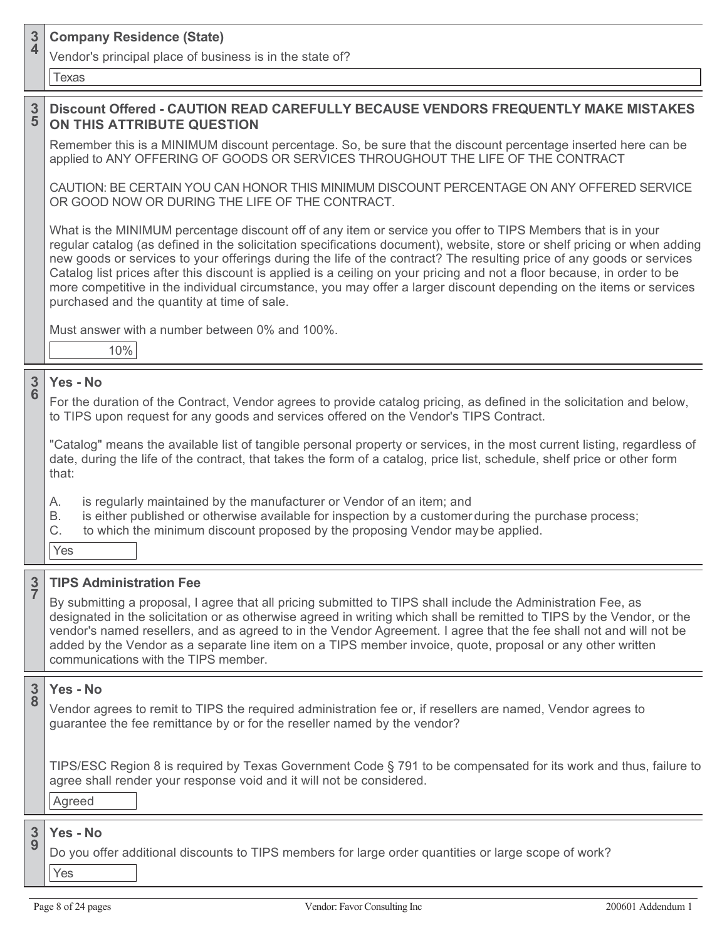### **3 <sup>4</sup> Company Residence (State)**

Vendor's principal place of business is in the state of?

Texas

### **3 5 Discount Offered - CAUTION READ CAREFULLY BECAUSE VENDORS FREQUENTLY MAKE MISTAKES ON THIS ATTRIBUTE QUESTION**

Remember this is a MINIMUM discount percentage. So, be sure that the discount percentage inserted here can be applied to ANY OFFERING OF GOODS OR SERVICES THROUGHOUT THE LIFE OF THE CONTRACT

CAUTION: BE CERTAIN YOU CAN HONOR THIS MINIMUM DISCOUNT PERCENTAGE ON ANY OFFERED SERVICE OR GOOD NOW OR DURING THE LIFE OF THE CONTRACT.

What is the MINIMUM percentage discount off of any item or service you offer to TIPS Members that is in your regular catalog (as defined in the solicitation specifications document), website, store or shelf pricing or when adding new goods or services to your offerings during the life of the contract? The resulting price of any goods or services Catalog list prices after this discount is applied is a ceiling on your pricing and not a floor because, in order to be more competitive in the individual circumstance, you may offer a larger discount depending on the items or services purchased and the quantity at time of sale.

Must answer with a number between 0% and 100%.

10%

### **3 6 Yes - No**

For the duration of the Contract, Vendor agrees to provide catalog pricing, as defined in the solicitation and below, to TIPS upon request for any goods and services offered on the Vendor's TIPS Contract.

"Catalog" means the available list of tangible personal property or services, in the most current listing, regardless of date, during the life of the contract, that takes the form of a catalog, price list, schedule, shelf price or other form that:

A. is regularly maintained by the manufacturer or Vendor of an item; and

B. is either published or otherwise available for inspection by a customerduring the purchase process;

C. to which the minimum discount proposed by the proposing Vendor may be applied.

Yes

### **3 7 TIPS Administration Fee**

By submitting a proposal, I agree that all pricing submitted to TIPS shall include the Administration Fee, as designated in the solicitation or as otherwise agreed in writing which shall be remitted to TIPS by the Vendor, or the vendor's named resellers, and as agreed to in the Vendor Agreement. I agree that the fee shall not and will not be added by the Vendor as a separate line item on a TIPS member invoice, quote, proposal or any other written communications with the TIPS member.

### **3 8 Yes - No**

Vendor agrees to remit to TIPS the required administration fee or, if resellers are named, Vendor agrees to guarantee the fee remittance by or for the reseller named by the vendor?

TIPS/ESC Region 8 is required by Texas Government Code § 791 to be compensated for its work and thus, failure to agree shall render your response void and it will not be considered.

Agreed

### **3 9 Yes - No**

Do you offer additional discounts to TIPS members for large order quantities or large scope of work?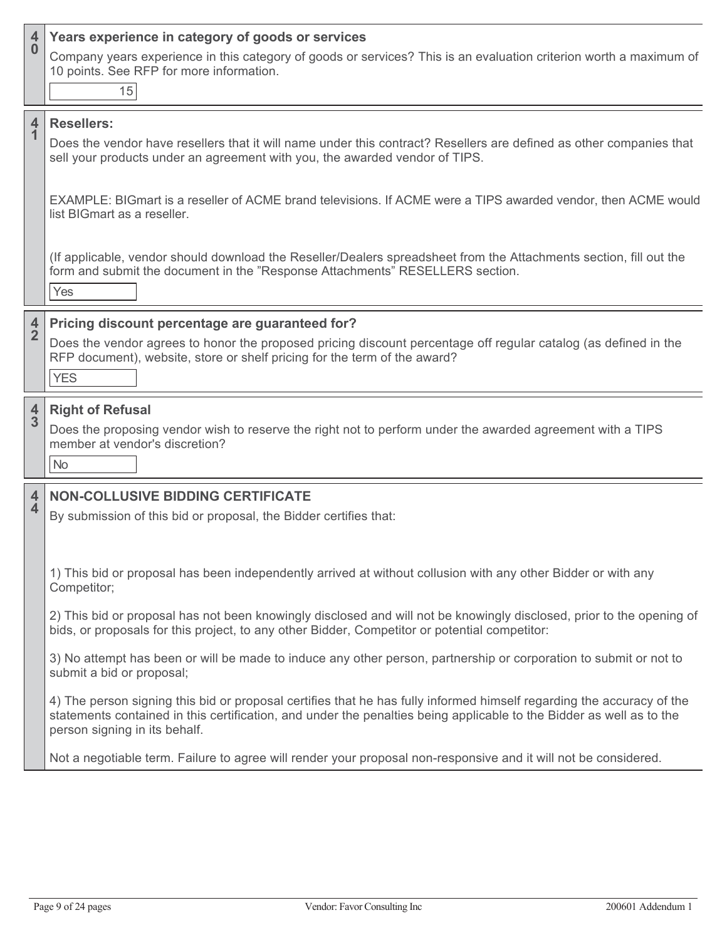| $\overline{4}$<br>$\bf{0}$              | Years experience in category of goods or services<br>Company years experience in this category of goods or services? This is an evaluation criterion worth a maximum of<br>10 points. See RFP for more information.<br>15                                                      |
|-----------------------------------------|--------------------------------------------------------------------------------------------------------------------------------------------------------------------------------------------------------------------------------------------------------------------------------|
| $\overline{\mathbf{4}}$<br>$\mathbf{1}$ | <b>Resellers:</b><br>Does the vendor have resellers that it will name under this contract? Resellers are defined as other companies that<br>sell your products under an agreement with you, the awarded vendor of TIPS.                                                        |
|                                         | EXAMPLE: BIGmart is a reseller of ACME brand televisions. If ACME were a TIPS awarded vendor, then ACME would<br>list BIGmart as a reseller.                                                                                                                                   |
|                                         | (If applicable, vendor should download the Reseller/Dealers spreadsheet from the Attachments section, fill out the<br>form and submit the document in the "Response Attachments" RESELLERS section.<br>Yes                                                                     |
| $\frac{4}{2}$                           | Pricing discount percentage are guaranteed for?<br>Does the vendor agrees to honor the proposed pricing discount percentage off regular catalog (as defined in the<br>RFP document), website, store or shelf pricing for the term of the award?<br><b>YES</b>                  |
| $\frac{4}{3}$                           | <b>Right of Refusal</b><br>Does the proposing vendor wish to reserve the right not to perform under the awarded agreement with a TIPS<br>member at vendor's discretion?<br><b>No</b>                                                                                           |
| 4<br>$\overline{\mathbf{4}}$            | <b>NON-COLLUSIVE BIDDING CERTIFICATE</b><br>By submission of this bid or proposal, the Bidder certifies that:                                                                                                                                                                  |
|                                         | 1) This bid or proposal has been independently arrived at without collusion with any other Bidder or with any<br>Competitor;                                                                                                                                                   |
|                                         | 2) This bid or proposal has not been knowingly disclosed and will not be knowingly disclosed, prior to the opening of<br>bids, or proposals for this project, to any other Bidder, Competitor or potential competitor:                                                         |
|                                         | 3) No attempt has been or will be made to induce any other person, partnership or corporation to submit or not to<br>submit a bid or proposal;                                                                                                                                 |
|                                         | 4) The person signing this bid or proposal certifies that he has fully informed himself regarding the accuracy of the<br>statements contained in this certification, and under the penalties being applicable to the Bidder as well as to the<br>person signing in its behalf. |
|                                         | Not a negotiable term. Failure to agree will render your proposal non-responsive and it will not be considered.                                                                                                                                                                |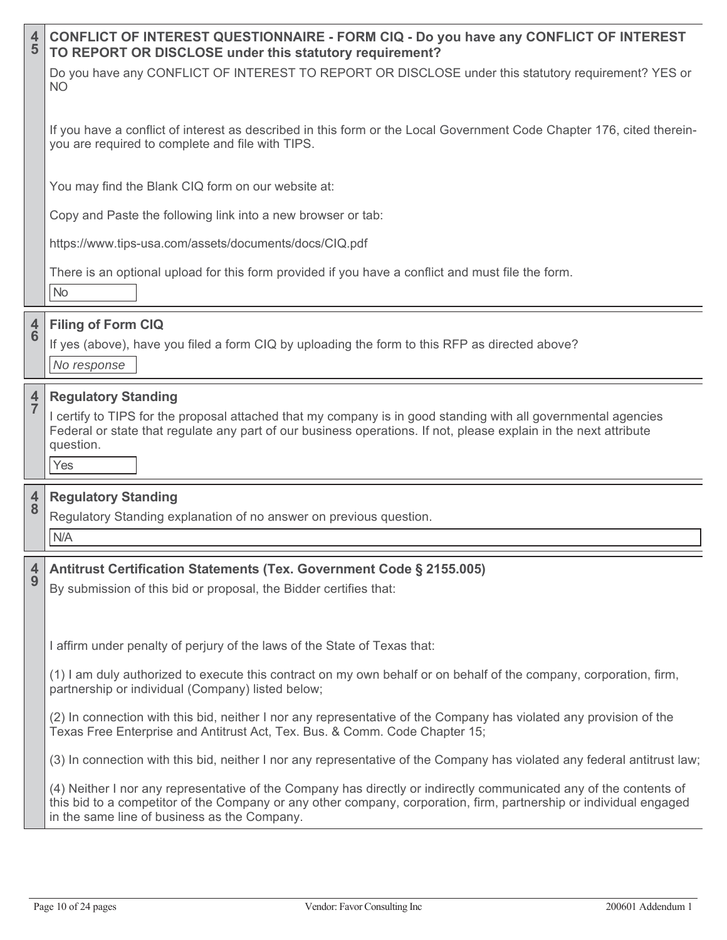| $\overline{\mathbf{r}}$<br>5              | <b>CONFLICT OF INTEREST QUESTIONNAIRE - FORM CIQ - Do you have any CONFLICT OF INTEREST</b><br>TO REPORT OR DISCLOSE under this statutory requirement?                                                                                                                                   |
|-------------------------------------------|------------------------------------------------------------------------------------------------------------------------------------------------------------------------------------------------------------------------------------------------------------------------------------------|
|                                           | Do you have any CONFLICT OF INTEREST TO REPORT OR DISCLOSE under this statutory requirement? YES or<br>NO                                                                                                                                                                                |
|                                           | If you have a conflict of interest as described in this form or the Local Government Code Chapter 176, cited therein-<br>you are required to complete and file with TIPS.                                                                                                                |
|                                           | You may find the Blank CIQ form on our website at:                                                                                                                                                                                                                                       |
|                                           | Copy and Paste the following link into a new browser or tab:                                                                                                                                                                                                                             |
|                                           | https://www.tips-usa.com/assets/documents/docs/CIQ.pdf                                                                                                                                                                                                                                   |
|                                           | There is an optional upload for this form provided if you have a conflict and must file the form.<br>No                                                                                                                                                                                  |
|                                           | <b>Filing of Form CIQ</b>                                                                                                                                                                                                                                                                |
| $\frac{4}{6}$                             | If yes (above), have you filed a form CIQ by uploading the form to this RFP as directed above?<br>No response                                                                                                                                                                            |
| $\frac{4}{7}$                             | <b>Regulatory Standing</b><br>I certify to TIPS for the proposal attached that my company is in good standing with all governmental agencies<br>Federal or state that regulate any part of our business operations. If not, please explain in the next attribute<br>question.<br>Yes     |
|                                           |                                                                                                                                                                                                                                                                                          |
| $\overline{\mathbf{r}}$<br>$\overline{8}$ | <b>Regulatory Standing</b><br>Regulatory Standing explanation of no answer on previous question.<br>N/A                                                                                                                                                                                  |
|                                           |                                                                                                                                                                                                                                                                                          |
| 4<br>9                                    | Antitrust Certification Statements (Tex. Government Code § 2155.005)<br>By submission of this bid or proposal, the Bidder certifies that:                                                                                                                                                |
|                                           | I affirm under penalty of perjury of the laws of the State of Texas that:                                                                                                                                                                                                                |
|                                           | (1) I am duly authorized to execute this contract on my own behalf or on behalf of the company, corporation, firm,<br>partnership or individual (Company) listed below;                                                                                                                  |
|                                           | (2) In connection with this bid, neither I nor any representative of the Company has violated any provision of the<br>Texas Free Enterprise and Antitrust Act, Tex. Bus. & Comm. Code Chapter 15;                                                                                        |
|                                           | (3) In connection with this bid, neither I nor any representative of the Company has violated any federal antitrust law;                                                                                                                                                                 |
|                                           | (4) Neither I nor any representative of the Company has directly or indirectly communicated any of the contents of<br>this bid to a competitor of the Company or any other company, corporation, firm, partnership or individual engaged<br>in the same line of business as the Company. |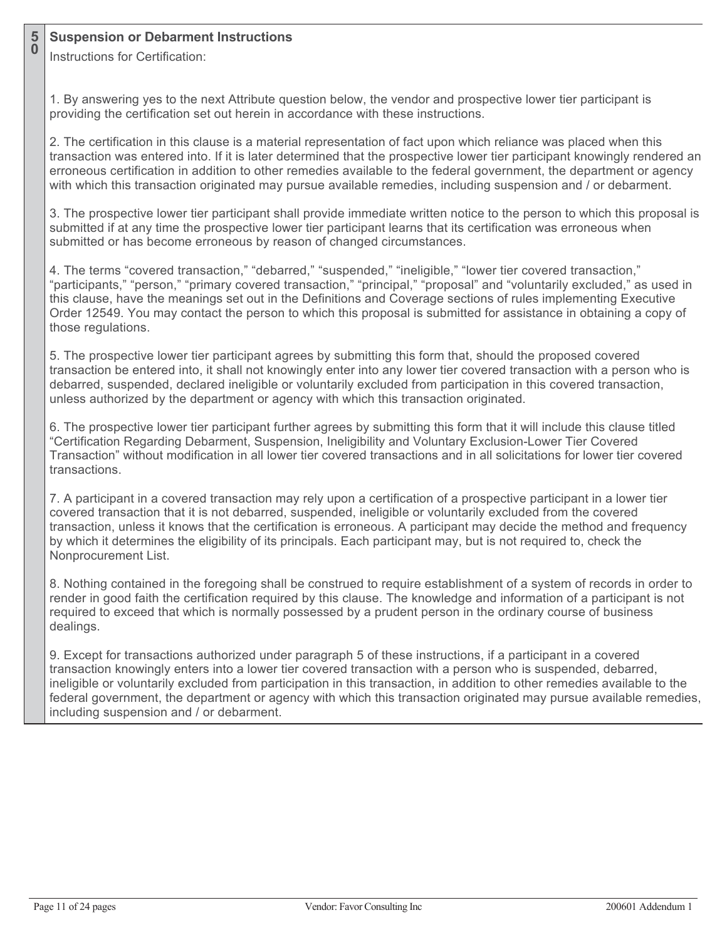### **5 <sup>0</sup> Suspension or Debarment Instructions**

Instructions for Certification:

1. By answering yes to the next Attribute question below, the vendor and prospective lower tier participant is providing the certification set out herein in accordance with these instructions.

2. The certification in this clause is a material representation of fact upon which reliance was placed when this transaction was entered into. If it is later determined that the prospective lower tier participant knowingly rendered an erroneous certification in addition to other remedies available to the federal government, the department or agency with which this transaction originated may pursue available remedies, including suspension and / or debarment.

3. The prospective lower tier participant shall provide immediate written notice to the person to which this proposal is submitted if at any time the prospective lower tier participant learns that its certification was erroneous when submitted or has become erroneous by reason of changed circumstances.

4. The terms "covered transaction," "debarred," "suspended," "ineligible," "lower tier covered transaction," "participants," "person," "primary covered transaction," "principal," "proposal" and "voluntarily excluded," as used in this clause, have the meanings set out in the Definitions and Coverage sections of rules implementing Executive Order 12549. You may contact the person to which this proposal is submitted for assistance in obtaining a copy of those regulations.

5. The prospective lower tier participant agrees by submitting this form that, should the proposed covered transaction be entered into, it shall not knowingly enter into any lower tier covered transaction with a person who is debarred, suspended, declared ineligible or voluntarily excluded from participation in this covered transaction, unless authorized by the department or agency with which this transaction originated.

6. The prospective lower tier participant further agrees by submitting this form that it will include this clause titled "Certification Regarding Debarment, Suspension, Ineligibility and Voluntary Exclusion-Lower Tier Covered Transaction" without modification in all lower tier covered transactions and in all solicitations for lower tier covered transactions.

7. A participant in a covered transaction may rely upon a certification of a prospective participant in a lower tier covered transaction that it is not debarred, suspended, ineligible or voluntarily excluded from the covered transaction, unless it knows that the certification is erroneous. A participant may decide the method and frequency by which it determines the eligibility of its principals. Each participant may, but is not required to, check the Nonprocurement List.

8. Nothing contained in the foregoing shall be construed to require establishment of a system of records in order to render in good faith the certification required by this clause. The knowledge and information of a participant is not required to exceed that which is normally possessed by a prudent person in the ordinary course of business dealings.

9. Except for transactions authorized under paragraph 5 of these instructions, if a participant in a covered transaction knowingly enters into a lower tier covered transaction with a person who is suspended, debarred, ineligible or voluntarily excluded from participation in this transaction, in addition to other remedies available to the federal government, the department or agency with which this transaction originated may pursue available remedies, including suspension and / or debarment.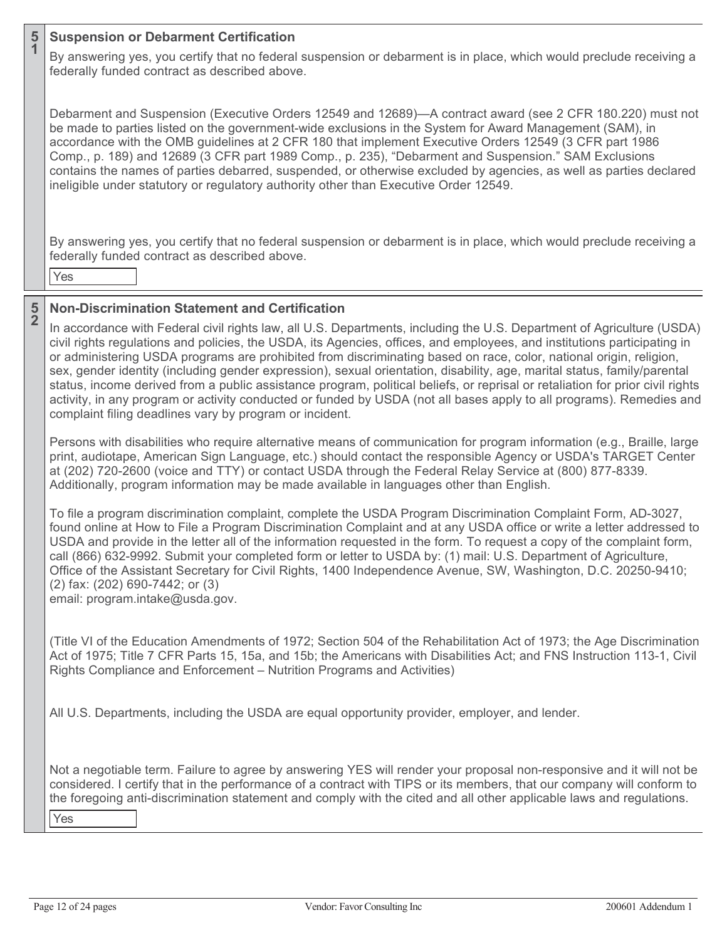### **5 <sup>1</sup> Suspension or Debarment Certification**

By answering yes, you certify that no federal suspension or debarment is in place, which would preclude receiving a federally funded contract as described above.

Debarment and Suspension (Executive Orders 12549 and 12689)—A contract award (see 2 CFR 180.220) must not be made to parties listed on the government-wide exclusions in the System for Award Management (SAM), in accordance with the OMB guidelines at 2 CFR 180 that implement Executive Orders 12549 (3 CFR part 1986 Comp., p. 189) and 12689 (3 CFR part 1989 Comp., p. 235), "Debarment and Suspension." SAM Exclusions contains the names of parties debarred, suspended, or otherwise excluded by agencies, as well as parties declared ineligible under statutory or regulatory authority other than Executive Order 12549.

By answering yes, you certify that no federal suspension or debarment is in place, which would preclude receiving a federally funded contract as described above.

Yes

### **5 2 Non-Discrimination Statement and Certification**

In accordance with Federal civil rights law, all U.S. Departments, including the U.S. Department of Agriculture (USDA) civil rights regulations and policies, the USDA, its Agencies, offices, and employees, and institutions participating in or administering USDA programs are prohibited from discriminating based on race, color, national origin, religion, sex, gender identity (including gender expression), sexual orientation, disability, age, marital status, family/parental status, income derived from a public assistance program, political beliefs, or reprisal or retaliation for prior civil rights activity, in any program or activity conducted or funded by USDA (not all bases apply to all programs). Remedies and complaint filing deadlines vary by program or incident.

Persons with disabilities who require alternative means of communication for program information (e.g., Braille, large print, audiotape, American Sign Language, etc.) should contact the responsible Agency or USDA's TARGET Center at (202) 720-2600 (voice and TTY) or contact USDA through the Federal Relay Service at (800) 877-8339. Additionally, program information may be made available in languages other than English.

To file a program discrimination complaint, complete the USDA Program Discrimination Complaint Form, AD-3027, found online at How to File a Program Discrimination Complaint and at any USDA office or write a letter addressed to USDA and provide in the letter all of the information requested in the form. To request a copy of the complaint form, call (866) 632-9992. Submit your completed form or letter to USDA by: (1) mail: U.S. Department of Agriculture, Office of the Assistant Secretary for Civil Rights, 1400 Independence Avenue, SW, Washington, D.C. 20250-9410; (2) fax: (202) 690-7442; or (3)

email: program.intake@usda.gov.

(Title VI of the Education Amendments of 1972; Section 504 of the Rehabilitation Act of 1973; the Age Discrimination Act of 1975; Title 7 CFR Parts 15, 15a, and 15b; the Americans with Disabilities Act; and FNS Instruction 113-1, Civil Rights Compliance and Enforcement – Nutrition Programs and Activities)

All U.S. Departments, including the USDA are equal opportunity provider, employer, and lender.

Not a negotiable term. Failure to agree by answering YES will render your proposal non-responsive and it will not be considered. I certify that in the performance of a contract with TIPS or its members, that our company will conform to the foregoing anti-discrimination statement and comply with the cited and all other applicable laws and regulations.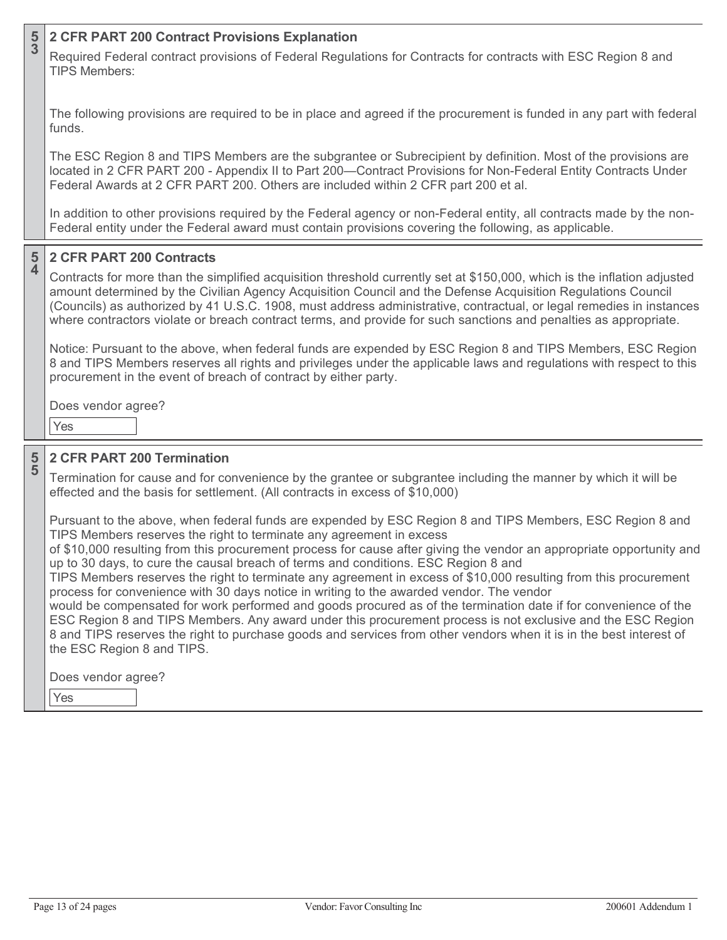### **5 <sup>3</sup> 2 CFR PART 200 Contract Provisions Explanation**

Required Federal contract provisions of Federal Regulations for Contracts for contracts with ESC Region 8 and TIPS Members:

The following provisions are required to be in place and agreed if the procurement is funded in any part with federal funds.

The ESC Region 8 and TIPS Members are the subgrantee or Subrecipient by definition. Most of the provisions are located in 2 CFR PART 200 - Appendix II to Part 200—Contract Provisions for Non-Federal Entity Contracts Under Federal Awards at 2 CFR PART 200. Others are included within 2 CFR part 200 et al.

In addition to other provisions required by the Federal agency or non-Federal entity, all contracts made by the non-Federal entity under the Federal award must contain provisions covering the following, as applicable.

### **5 4 2 CFR PART 200 Contracts**

Contracts for more than the simplified acquisition threshold currently set at \$150,000, which is the inflation adjusted amount determined by the Civilian Agency Acquisition Council and the Defense Acquisition Regulations Council (Councils) as authorized by 41 U.S.C. 1908, must address administrative, contractual, or legal remedies in instances where contractors violate or breach contract terms, and provide for such sanctions and penalties as appropriate.

Notice: Pursuant to the above, when federal funds are expended by ESC Region 8 and TIPS Members, ESC Region 8 and TIPS Members reserves all rights and privileges under the applicable laws and regulations with respect to this procurement in the event of breach of contract by either party.

Does vendor agree?

Yes

**5 5**

# **2 CFR PART 200 Termination**

Termination for cause and for convenience by the grantee or subgrantee including the manner by which it will be effected and the basis for settlement. (All contracts in excess of \$10,000)

Pursuant to the above, when federal funds are expended by ESC Region 8 and TIPS Members, ESC Region 8 and TIPS Members reserves the right to terminate any agreement in excess

of \$10,000 resulting from this procurement process for cause after giving the vendor an appropriate opportunity and up to 30 days, to cure the causal breach of terms and conditions. ESC Region 8 and

TIPS Members reserves the right to terminate any agreement in excess of \$10,000 resulting from this procurement process for convenience with 30 days notice in writing to the awarded vendor. The vendor

would be compensated for work performed and goods procured as of the termination date if for convenience of the ESC Region 8 and TIPS Members. Any award under this procurement process is not exclusive and the ESC Region 8 and TIPS reserves the right to purchase goods and services from other vendors when it is in the best interest of the ESC Region 8 and TIPS.

Does vendor agree?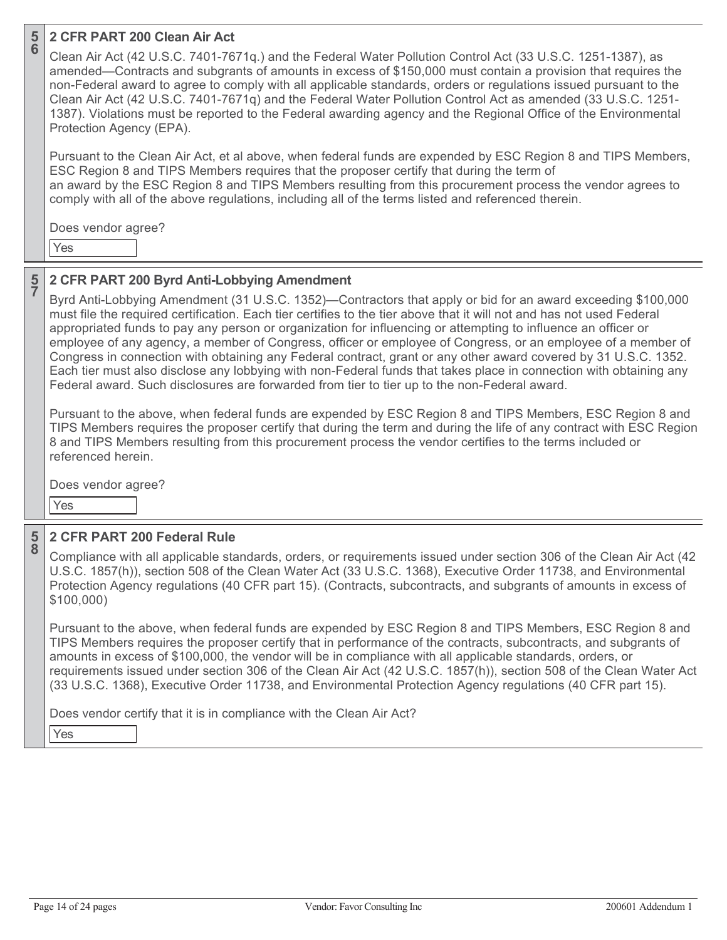# **2 CFR PART 200 Clean Air Act**

Clean Air Act (42 U.S.C. 7401-7671q.) and the Federal Water Pollution Control Act (33 U.S.C. 1251-1387), as amended—Contracts and subgrants of amounts in excess of \$150,000 must contain a provision that requires the non-Federal award to agree to comply with all applicable standards, orders or regulations issued pursuant to the Clean Air Act (42 U.S.C. 7401-7671q) and the Federal Water Pollution Control Act as amended (33 U.S.C. 1251- 1387). Violations must be reported to the Federal awarding agency and the Regional Office of the Environmental Protection Agency (EPA).

Pursuant to the Clean Air Act, et al above, when federal funds are expended by ESC Region 8 and TIPS Members, ESC Region 8 and TIPS Members requires that the proposer certify that during the term of an award by the ESC Region 8 and TIPS Members resulting from this procurement process the vendor agrees to comply with all of the above regulations, including all of the terms listed and referenced therein.

Does vendor agree?

Yes

**5 6**

### **5 <sup>7</sup> 2 CFR PART 200 Byrd Anti-Lobbying Amendment**

Byrd Anti-Lobbying Amendment (31 U.S.C. 1352)—Contractors that apply or bid for an award exceeding \$100,000 must file the required certification. Each tier certifies to the tier above that it will not and has not used Federal appropriated funds to pay any person or organization for influencing or attempting to influence an officer or employee of any agency, a member of Congress, officer or employee of Congress, or an employee of a member of Congress in connection with obtaining any Federal contract, grant or any other award covered by 31 U.S.C. 1352. Each tier must also disclose any lobbying with non-Federal funds that takes place in connection with obtaining any Federal award. Such disclosures are forwarded from tier to tier up to the non-Federal award.

Pursuant to the above, when federal funds are expended by ESC Region 8 and TIPS Members, ESC Region 8 and TIPS Members requires the proposer certify that during the term and during the life of any contract with ESC Region 8 and TIPS Members resulting from this procurement process the vendor certifies to the terms included or referenced herein.

Does vendor agree?

Yes

**5 8**

# **2 CFR PART 200 Federal Rule**

Compliance with all applicable standards, orders, or requirements issued under section 306 of the Clean Air Act (42 U.S.C. 1857(h)), section 508 of the Clean Water Act (33 U.S.C. 1368), Executive Order 11738, and Environmental Protection Agency regulations (40 CFR part 15). (Contracts, subcontracts, and subgrants of amounts in excess of \$100,000)

Pursuant to the above, when federal funds are expended by ESC Region 8 and TIPS Members, ESC Region 8 and TIPS Members requires the proposer certify that in performance of the contracts, subcontracts, and subgrants of amounts in excess of \$100,000, the vendor will be in compliance with all applicable standards, orders, or requirements issued under section 306 of the Clean Air Act (42 U.S.C. 1857(h)), section 508 of the Clean Water Act (33 U.S.C. 1368), Executive Order 11738, and Environmental Protection Agency regulations (40 CFR part 15).

Does vendor certify that it is in compliance with the Clean Air Act?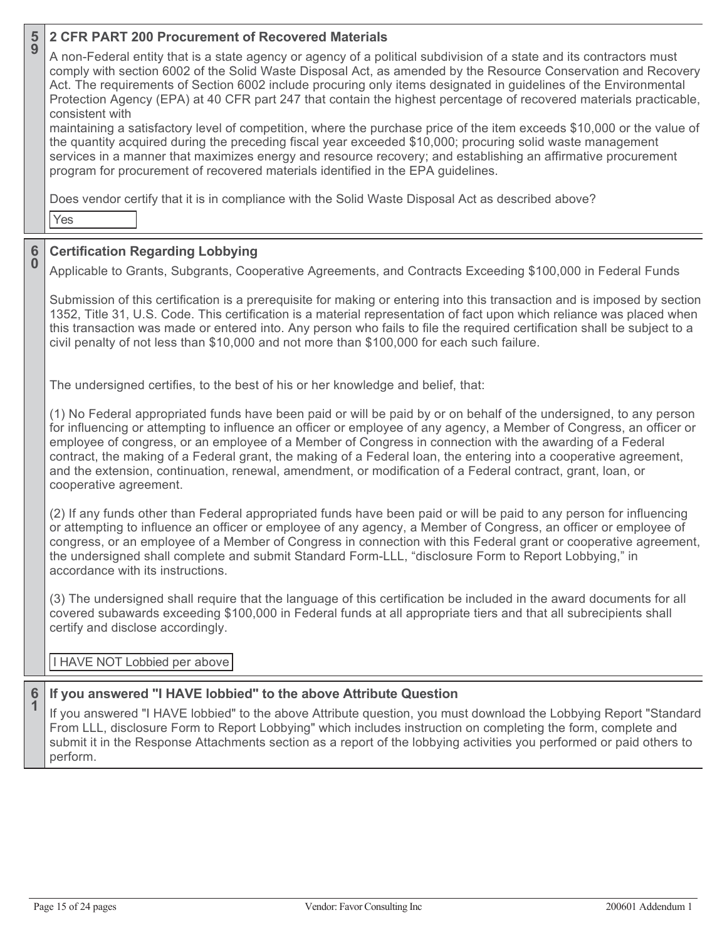| $\frac{5}{9}$                        | 2 CFR PART 200 Procurement of Recovered Materials                                                                                                                                                                                                                                                                                                                                                                                                                                                                                                                                                                     |
|--------------------------------------|-----------------------------------------------------------------------------------------------------------------------------------------------------------------------------------------------------------------------------------------------------------------------------------------------------------------------------------------------------------------------------------------------------------------------------------------------------------------------------------------------------------------------------------------------------------------------------------------------------------------------|
|                                      | A non-Federal entity that is a state agency or agency of a political subdivision of a state and its contractors must<br>comply with section 6002 of the Solid Waste Disposal Act, as amended by the Resource Conservation and Recovery<br>Act. The requirements of Section 6002 include procuring only items designated in guidelines of the Environmental<br>Protection Agency (EPA) at 40 CFR part 247 that contain the highest percentage of recovered materials practicable,<br>consistent with                                                                                                                   |
|                                      | maintaining a satisfactory level of competition, where the purchase price of the item exceeds \$10,000 or the value of<br>the quantity acquired during the preceding fiscal year exceeded \$10,000; procuring solid waste management<br>services in a manner that maximizes energy and resource recovery; and establishing an affirmative procurement<br>program for procurement of recovered materials identified in the EPA guidelines.                                                                                                                                                                             |
|                                      | Does vendor certify that it is in compliance with the Solid Waste Disposal Act as described above?<br>Yes                                                                                                                                                                                                                                                                                                                                                                                                                                                                                                             |
|                                      | <b>Certification Regarding Lobbying</b>                                                                                                                                                                                                                                                                                                                                                                                                                                                                                                                                                                               |
| $\begin{matrix} 6 \\ 0 \end{matrix}$ | Applicable to Grants, Subgrants, Cooperative Agreements, and Contracts Exceeding \$100,000 in Federal Funds                                                                                                                                                                                                                                                                                                                                                                                                                                                                                                           |
|                                      | Submission of this certification is a prerequisite for making or entering into this transaction and is imposed by section<br>1352, Title 31, U.S. Code. This certification is a material representation of fact upon which reliance was placed when<br>this transaction was made or entered into. Any person who fails to file the required certification shall be subject to a<br>civil penalty of not less than \$10,000 and not more than \$100,000 for each such failure.                                                                                                                                         |
|                                      | The undersigned certifies, to the best of his or her knowledge and belief, that:                                                                                                                                                                                                                                                                                                                                                                                                                                                                                                                                      |
|                                      | (1) No Federal appropriated funds have been paid or will be paid by or on behalf of the undersigned, to any person<br>for influencing or attempting to influence an officer or employee of any agency, a Member of Congress, an officer or<br>employee of congress, or an employee of a Member of Congress in connection with the awarding of a Federal<br>contract, the making of a Federal grant, the making of a Federal loan, the entering into a cooperative agreement,<br>and the extension, continuation, renewal, amendment, or modification of a Federal contract, grant, loan, or<br>cooperative agreement. |
|                                      | (2) If any funds other than Federal appropriated funds have been paid or will be paid to any person for influencing<br>or attempting to influence an officer or employee of any agency, a Member of Congress, an officer or employee of<br>congress, or an employee of a Member of Congress in connection with this Federal grant or cooperative agreement,<br>the undersigned shall complete and submit Standard Form-LLL, "disclosure Form to Report Lobbying," in<br>accordance with its instructions.                                                                                                             |
|                                      | (3) The undersigned shall require that the language of this certification be included in the award documents for all<br>covered subawards exceeding \$100,000 in Federal funds at all appropriate tiers and that all subrecipients shall<br>certify and disclose accordingly.                                                                                                                                                                                                                                                                                                                                         |
|                                      | I HAVE NOT Lobbied per above                                                                                                                                                                                                                                                                                                                                                                                                                                                                                                                                                                                          |
|                                      | If you answered "I HAVE lobbied" to the above Attribute Question                                                                                                                                                                                                                                                                                                                                                                                                                                                                                                                                                      |
| $\frac{6}{1}$                        | If you answered "I HAVE lobbied" to the above Attribute question, you must download the Lobbying Report "Standard<br>From LLL, disclosure Form to Report Lobbying" which includes instruction on completing the form, complete and<br>submit it in the Response Attachments section as a report of the lobbying activities you performed or paid others to<br>perform.                                                                                                                                                                                                                                                |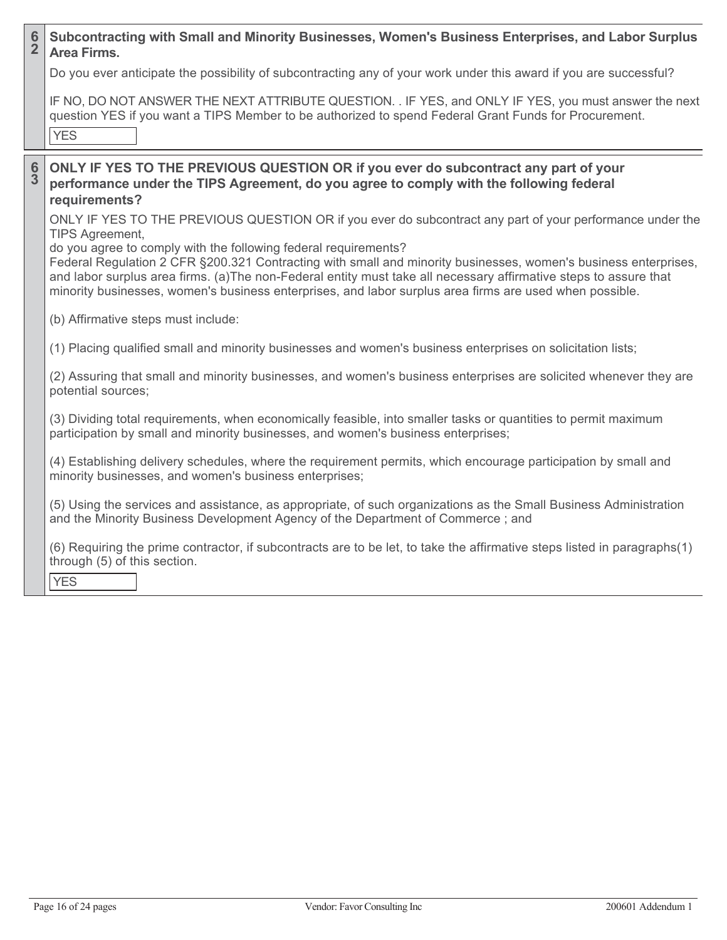| $\frac{6}{2}$ | Subcontracting with Small and Minority Businesses, Women's Business Enterprises, and Labor Surplus<br><b>Area Firms.</b>                                                                                                                                                                                                                                                                                                                                                                                                                                 |
|---------------|----------------------------------------------------------------------------------------------------------------------------------------------------------------------------------------------------------------------------------------------------------------------------------------------------------------------------------------------------------------------------------------------------------------------------------------------------------------------------------------------------------------------------------------------------------|
|               | Do you ever anticipate the possibility of subcontracting any of your work under this award if you are successful?                                                                                                                                                                                                                                                                                                                                                                                                                                        |
|               | IF NO, DO NOT ANSWER THE NEXT ATTRIBUTE QUESTION. . IF YES, and ONLY IF YES, you must answer the next<br>question YES if you want a TIPS Member to be authorized to spend Federal Grant Funds for Procurement.<br><b>YES</b>                                                                                                                                                                                                                                                                                                                             |
| $\frac{6}{3}$ | ONLY IF YES TO THE PREVIOUS QUESTION OR if you ever do subcontract any part of your<br>performance under the TIPS Agreement, do you agree to comply with the following federal<br>requirements?                                                                                                                                                                                                                                                                                                                                                          |
|               | ONLY IF YES TO THE PREVIOUS QUESTION OR if you ever do subcontract any part of your performance under the<br><b>TIPS Agreement,</b><br>do you agree to comply with the following federal requirements?<br>Federal Regulation 2 CFR §200.321 Contracting with small and minority businesses, women's business enterprises,<br>and labor surplus area firms. (a)The non-Federal entity must take all necessary affirmative steps to assure that<br>minority businesses, women's business enterprises, and labor surplus area firms are used when possible. |
|               | (b) Affirmative steps must include:                                                                                                                                                                                                                                                                                                                                                                                                                                                                                                                      |
|               | (1) Placing qualified small and minority businesses and women's business enterprises on solicitation lists;                                                                                                                                                                                                                                                                                                                                                                                                                                              |
|               | (2) Assuring that small and minority businesses, and women's business enterprises are solicited whenever they are<br>potential sources;                                                                                                                                                                                                                                                                                                                                                                                                                  |
|               | (3) Dividing total requirements, when economically feasible, into smaller tasks or quantities to permit maximum<br>participation by small and minority businesses, and women's business enterprises;                                                                                                                                                                                                                                                                                                                                                     |
|               | (4) Establishing delivery schedules, where the requirement permits, which encourage participation by small and<br>minority businesses, and women's business enterprises;                                                                                                                                                                                                                                                                                                                                                                                 |
|               | (5) Using the services and assistance, as appropriate, of such organizations as the Small Business Administration<br>and the Minority Business Development Agency of the Department of Commerce; and                                                                                                                                                                                                                                                                                                                                                     |
|               | (6) Requiring the prime contractor, if subcontracts are to be let, to take the affirmative steps listed in paragraphs(1)<br>through (5) of this section.<br><b>YES</b>                                                                                                                                                                                                                                                                                                                                                                                   |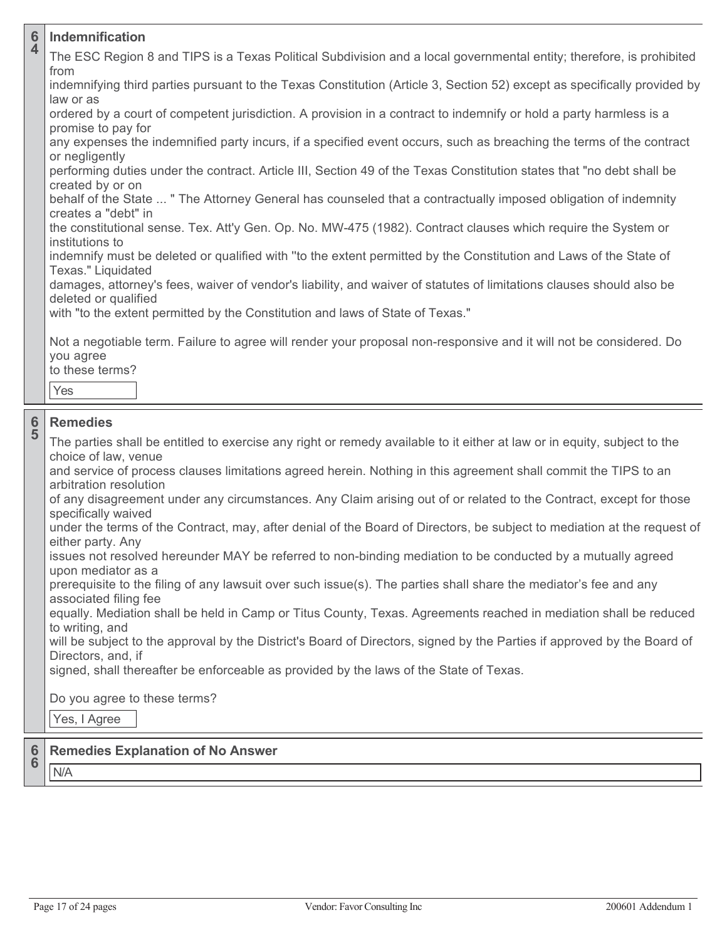| $6\phantom{1}6$<br>$\overline{\mathbf{4}}$ | <b>Indemnification</b>                                                                                                                                    |
|--------------------------------------------|-----------------------------------------------------------------------------------------------------------------------------------------------------------|
|                                            | The ESC Region 8 and TIPS is a Texas Political Subdivision and a local governmental entity; therefore, is prohibited                                      |
|                                            | from<br>indemnifying third parties pursuant to the Texas Constitution (Article 3, Section 52) except as specifically provided by<br>law or as             |
|                                            | ordered by a court of competent jurisdiction. A provision in a contract to indemnify or hold a party harmless is a<br>promise to pay for                  |
|                                            | any expenses the indemnified party incurs, if a specified event occurs, such as breaching the terms of the contract<br>or negligently                     |
|                                            | performing duties under the contract. Article III, Section 49 of the Texas Constitution states that "no debt shall be<br>created by or on                 |
|                                            | behalf of the State  " The Attorney General has counseled that a contractually imposed obligation of indemnity<br>creates a "debt" in                     |
|                                            | the constitutional sense. Tex. Att'y Gen. Op. No. MW-475 (1982). Contract clauses which require the System or<br>institutions to                          |
|                                            | indemnify must be deleted or qualified with "to the extent permitted by the Constitution and Laws of the State of<br>Texas." Liquidated                   |
|                                            | damages, attorney's fees, waiver of vendor's liability, and waiver of statutes of limitations clauses should also be<br>deleted or qualified              |
|                                            | with "to the extent permitted by the Constitution and laws of State of Texas."                                                                            |
|                                            | Not a negotiable term. Failure to agree will render your proposal non-responsive and it will not be considered. Do<br>you agree<br>to these terms?<br>Yes |
|                                            |                                                                                                                                                           |
| $\frac{6}{5}$                              | <b>Remedies</b><br>The parties shall be entitled to exercise any right or remedy available to it either at law or in equity, subject to the               |
|                                            | choice of law, venue<br>and service of process clauses limitations agreed herein. Nothing in this agreement shall commit the TIPS to an                   |
|                                            | arbitration resolution<br>of any disagreement under any circumstances. Any Claim arising out of or related to the Contract, except for those              |
|                                            | specifically waived<br>under the terms of the Contract, may, after denial of the Board of Directors, be subject to mediation at the request of            |
|                                            | either party. Any<br>issues not resolved hereunder MAY be referred to non-binding mediation to be conducted by a mutually agreed                          |
|                                            | upon mediator as a                                                                                                                                        |
|                                            | prerequisite to the filing of any lawsuit over such issue(s). The parties shall share the mediator's fee and any<br>associated filing fee                 |
|                                            | equally. Mediation shall be held in Camp or Titus County, Texas. Agreements reached in mediation shall be reduced<br>to writing, and                      |
|                                            | will be subject to the approval by the District's Board of Directors, signed by the Parties if approved by the Board of<br>Directors, and, if             |
|                                            | signed, shall thereafter be enforceable as provided by the laws of the State of Texas.                                                                    |
|                                            | Do you agree to these terms?                                                                                                                              |
|                                            | Yes, I Agree                                                                                                                                              |
| 6<br>6                                     | <b>Remedies Explanation of No Answer</b>                                                                                                                  |
|                                            |                                                                                                                                                           |

N/A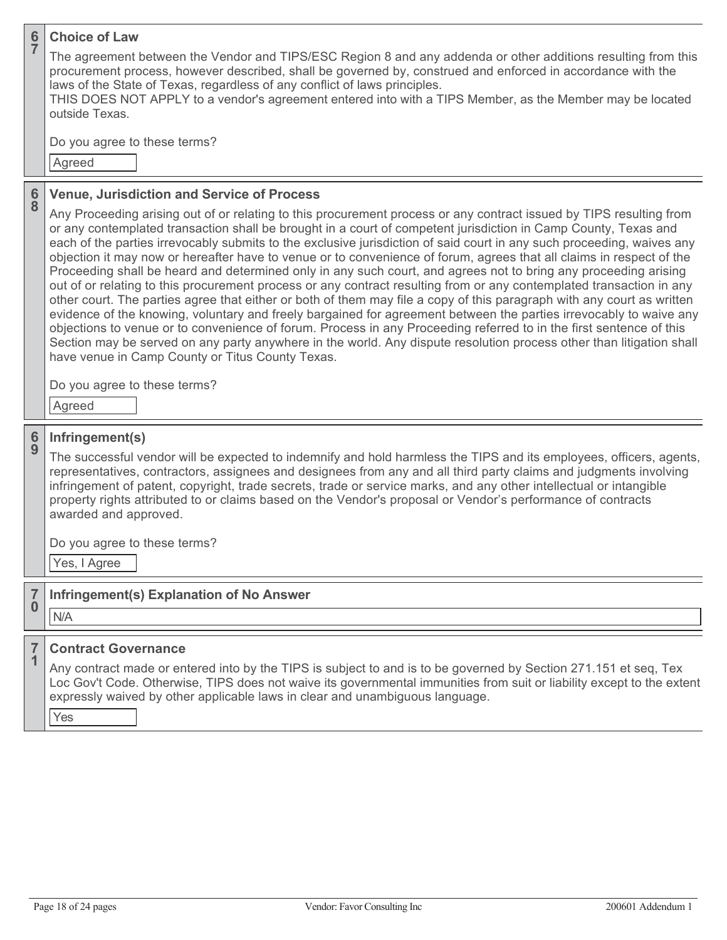| $rac{6}{7}$        | <b>Choice of Law</b><br>The agreement between the Vendor and TIPS/ESC Region 8 and any addenda or other additions resulting from this<br>procurement process, however described, shall be governed by, construed and enforced in accordance with the<br>laws of the State of Texas, regardless of any conflict of laws principles.<br>THIS DOES NOT APPLY to a vendor's agreement entered into with a TIPS Member, as the Member may be located<br>outside Texas.<br>Do you agree to these terms?<br>Agreed                                                                                                                                                                                                                                                                                                                                                                                                                                                                                                                                                                                                                                                                                                                                                                                                                                                                           |
|--------------------|---------------------------------------------------------------------------------------------------------------------------------------------------------------------------------------------------------------------------------------------------------------------------------------------------------------------------------------------------------------------------------------------------------------------------------------------------------------------------------------------------------------------------------------------------------------------------------------------------------------------------------------------------------------------------------------------------------------------------------------------------------------------------------------------------------------------------------------------------------------------------------------------------------------------------------------------------------------------------------------------------------------------------------------------------------------------------------------------------------------------------------------------------------------------------------------------------------------------------------------------------------------------------------------------------------------------------------------------------------------------------------------|
| $\frac{6}{8}$      | <b>Venue, Jurisdiction and Service of Process</b><br>Any Proceeding arising out of or relating to this procurement process or any contract issued by TIPS resulting from<br>or any contemplated transaction shall be brought in a court of competent jurisdiction in Camp County, Texas and<br>each of the parties irrevocably submits to the exclusive jurisdiction of said court in any such proceeding, waives any<br>objection it may now or hereafter have to venue or to convenience of forum, agrees that all claims in respect of the<br>Proceeding shall be heard and determined only in any such court, and agrees not to bring any proceeding arising<br>out of or relating to this procurement process or any contract resulting from or any contemplated transaction in any<br>other court. The parties agree that either or both of them may file a copy of this paragraph with any court as written<br>evidence of the knowing, voluntary and freely bargained for agreement between the parties irrevocably to waive any<br>objections to venue or to convenience of forum. Process in any Proceeding referred to in the first sentence of this<br>Section may be served on any party anywhere in the world. Any dispute resolution process other than litigation shall<br>have venue in Camp County or Titus County Texas.<br>Do you agree to these terms?<br>Agreed |
| $\frac{6}{9}$      | Infringement(s)<br>The successful vendor will be expected to indemnify and hold harmless the TIPS and its employees, officers, agents,<br>representatives, contractors, assignees and designees from any and all third party claims and judgments involving<br>infringement of patent, copyright, trade secrets, trade or service marks, and any other intellectual or intangible<br>property rights attributed to or claims based on the Vendor's proposal or Vendor's performance of contracts<br>awarded and approved.<br>Do you agree to these terms?<br>Yes, I Agree                                                                                                                                                                                                                                                                                                                                                                                                                                                                                                                                                                                                                                                                                                                                                                                                             |
| 7<br>$\bf{0}$<br>7 | Infringement(s) Explanation of No Answer<br>N/A<br><b>Contract Governance</b>                                                                                                                                                                                                                                                                                                                                                                                                                                                                                                                                                                                                                                                                                                                                                                                                                                                                                                                                                                                                                                                                                                                                                                                                                                                                                                         |
| 1                  | Any contract made or entered into by the TIPS is subject to and is to be governed by Section 271.151 et seq, Tex<br>Loc Gov't Code. Otherwise, TIPS does not waive its governmental immunities from suit or liability except to the extent<br>expressly waived by other applicable laws in clear and unambiguous language.<br>Yes                                                                                                                                                                                                                                                                                                                                                                                                                                                                                                                                                                                                                                                                                                                                                                                                                                                                                                                                                                                                                                                     |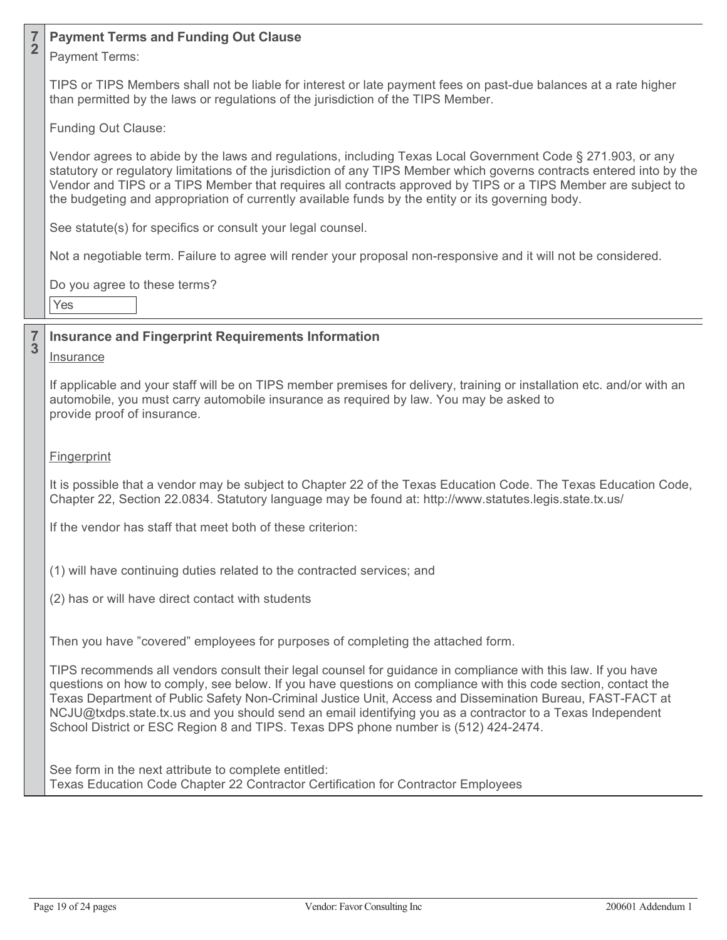### **7 <sup>2</sup> Payment Terms and Funding Out Clause**

Payment Terms:

TIPS or TIPS Members shall not be liable for interest or late payment fees on past-due balances at a rate higher than permitted by the laws or regulations of the jurisdiction of the TIPS Member.

Funding Out Clause:

Vendor agrees to abide by the laws and regulations, including Texas Local Government Code § 271.903, or any statutory or regulatory limitations of the jurisdiction of any TIPS Member which governs contracts entered into by the Vendor and TIPS or a TIPS Member that requires all contracts approved by TIPS or a TIPS Member are subject to the budgeting and appropriation of currently available funds by the entity or its governing body.

See statute(s) for specifics or consult your legal counsel.

Not a negotiable term. Failure to agree will render your proposal non-responsive and it will not be considered.

Do you agree to these terms?

Yes

**7**

# **<sup>3</sup> Insurance and Fingerprint Requirements Information**

# **Insurance**

If applicable and your staff will be on TIPS member premises for delivery, training or installation etc. and/or with an automobile, you must carry automobile insurance as required by law. You may be asked to provide proof of insurance.

# **Fingerprint**

It is possible that a vendor may be subject to Chapter 22 of the Texas Education Code. The Texas Education Code, Chapter 22, Section 22.0834. Statutory language may be found at: http://www.statutes.legis.state.tx.us/

If the vendor has staff that meet both of these criterion:

(1) will have continuing duties related to the contracted services; and

(2) has or will have direct contact with students

Then you have "covered" employees for purposes of completing the attached form.

TIPS recommends all vendors consult their legal counsel for guidance in compliance with this law. If you have questions on how to comply, see below. If you have questions on compliance with this code section, contact the Texas Department of Public Safety Non-Criminal Justice Unit, Access and Dissemination Bureau, FAST-FACT at NCJU@txdps.state.tx.us and you should send an email identifying you as a contractor to a Texas Independent School District or ESC Region 8 and TIPS. Texas DPS phone number is (512) 424-2474.

See form in the next attribute to complete entitled: Texas Education Code Chapter 22 Contractor Certification for Contractor Employees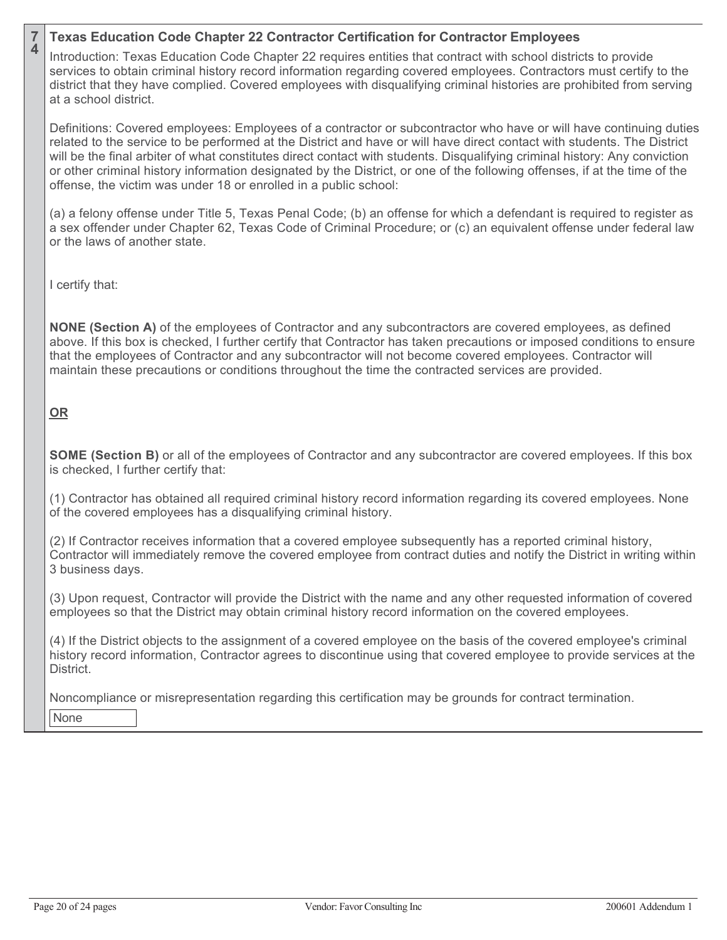### **7 <sup>4</sup> Texas Education Code Chapter 22 Contractor Certification for Contractor Employees**

Introduction: Texas Education Code Chapter 22 requires entities that contract with school districts to provide services to obtain criminal history record information regarding covered employees. Contractors must certify to the district that they have complied. Covered employees with disqualifying criminal histories are prohibited from serving at a school district.

Definitions: Covered employees: Employees of a contractor or subcontractor who have or will have continuing duties related to the service to be performed at the District and have or will have direct contact with students. The District will be the final arbiter of what constitutes direct contact with students. Disqualifying criminal history: Any conviction or other criminal history information designated by the District, or one of the following offenses, if at the time of the offense, the victim was under 18 or enrolled in a public school:

(a) a felony offense under Title 5, Texas Penal Code; (b) an offense for which a defendant is required to register as a sex offender under Chapter 62, Texas Code of Criminal Procedure; or (c) an equivalent offense under federal law or the laws of another state.

I certify that:

**NONE (Section A)** of the employees of Contractor and any subcontractors are covered employees, as defined above. If this box is checked, I further certify that Contractor has taken precautions or imposed conditions to ensure that the employees of Contractor and any subcontractor will not become covered employees. Contractor will maintain these precautions or conditions throughout the time the contracted services are provided.

# **OR**

**SOME (Section B)** or all of the employees of Contractor and any subcontractor are covered employees. If this box is checked, I further certify that:

(1) Contractor has obtained all required criminal history record information regarding its covered employees. None of the covered employees has a disqualifying criminal history.

(2) If Contractor receives information that a covered employee subsequently has a reported criminal history, Contractor will immediately remove the covered employee from contract duties and notify the District in writing within 3 business days.

(3) Upon request, Contractor will provide the District with the name and any other requested information of covered employees so that the District may obtain criminal history record information on the covered employees.

(4) If the District objects to the assignment of a covered employee on the basis of the covered employee's criminal history record information, Contractor agrees to discontinue using that covered employee to provide services at the District.

Noncompliance or misrepresentation regarding this certification may be grounds for contract termination.

None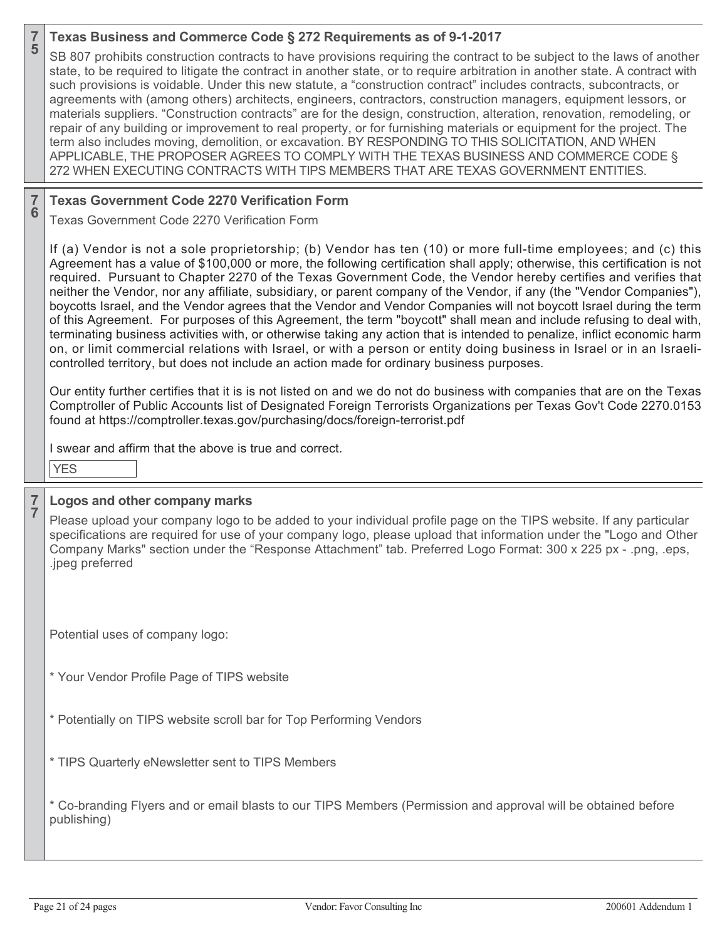|   | SB 807 prohibits construction contracts to have provisions requiring the contract to be subject to the laws of another<br>state, to be required to litigate the contract in another state, or to require arbitration in another state. A contract with<br>such provisions is voidable. Under this new statute, a "construction contract" includes contracts, subcontracts, or<br>agreements with (among others) architects, engineers, contractors, construction managers, equipment lessors, or<br>materials suppliers. "Construction contracts" are for the design, construction, alteration, renovation, remodeling, or<br>repair of any building or improvement to real property, or for furnishing materials or equipment for the project. The<br>term also includes moving, demolition, or excavation. BY RESPONDING TO THIS SOLICITATION, AND WHEN<br>APPLICABLE, THE PROPOSER AGREES TO COMPLY WITH THE TEXAS BUSINESS AND COMMERCE CODE §<br>272 WHEN EXECUTING CONTRACTS WITH TIPS MEMBERS THAT ARE TEXAS GOVERNMENT ENTITIES.                                            |
|---|-------------------------------------------------------------------------------------------------------------------------------------------------------------------------------------------------------------------------------------------------------------------------------------------------------------------------------------------------------------------------------------------------------------------------------------------------------------------------------------------------------------------------------------------------------------------------------------------------------------------------------------------------------------------------------------------------------------------------------------------------------------------------------------------------------------------------------------------------------------------------------------------------------------------------------------------------------------------------------------------------------------------------------------------------------------------------------------|
| 6 | <b>Texas Government Code 2270 Verification Form</b>                                                                                                                                                                                                                                                                                                                                                                                                                                                                                                                                                                                                                                                                                                                                                                                                                                                                                                                                                                                                                                 |
|   | Texas Government Code 2270 Verification Form                                                                                                                                                                                                                                                                                                                                                                                                                                                                                                                                                                                                                                                                                                                                                                                                                                                                                                                                                                                                                                        |
|   | If (a) Vendor is not a sole proprietorship; (b) Vendor has ten (10) or more full-time employees; and (c) this<br>Agreement has a value of \$100,000 or more, the following certification shall apply; otherwise, this certification is not<br>required. Pursuant to Chapter 2270 of the Texas Government Code, the Vendor hereby certifies and verifies that<br>neither the Vendor, nor any affiliate, subsidiary, or parent company of the Vendor, if any (the "Vendor Companies"),<br>boycotts Israel, and the Vendor agrees that the Vendor and Vendor Companies will not boycott Israel during the term<br>of this Agreement. For purposes of this Agreement, the term "boycott" shall mean and include refusing to deal with,<br>terminating business activities with, or otherwise taking any action that is intended to penalize, inflict economic harm<br>on, or limit commercial relations with Israel, or with a person or entity doing business in Israel or in an Israeli-<br>controlled territory, but does not include an action made for ordinary business purposes. |
|   | Our entity further certifies that it is is not listed on and we do not do business with companies that are on the Texas<br>Comptroller of Public Accounts list of Designated Foreign Terrorists Organizations per Texas Gov't Code 2270.0153<br>found at https://comptroller.texas.gov/purchasing/docs/foreign-terrorist.pdf                                                                                                                                                                                                                                                                                                                                                                                                                                                                                                                                                                                                                                                                                                                                                        |
|   | I swear and affirm that the above is true and correct.                                                                                                                                                                                                                                                                                                                                                                                                                                                                                                                                                                                                                                                                                                                                                                                                                                                                                                                                                                                                                              |
|   | <b>YES</b>                                                                                                                                                                                                                                                                                                                                                                                                                                                                                                                                                                                                                                                                                                                                                                                                                                                                                                                                                                                                                                                                          |
| 7 | Logos and other company marks                                                                                                                                                                                                                                                                                                                                                                                                                                                                                                                                                                                                                                                                                                                                                                                                                                                                                                                                                                                                                                                       |
|   | Please upload your company logo to be added to your individual profile page on the TIPS website. If any particular<br>specifications are required for use of your company logo, please upload that information under the "Logo and Other<br>Company Marks" section under the "Response Attachment" tab. Preferred Logo Format: 300 x 225 px - .png, .eps,<br>.jpeg preferred                                                                                                                                                                                                                                                                                                                                                                                                                                                                                                                                                                                                                                                                                                        |
|   | Potential uses of company logo:                                                                                                                                                                                                                                                                                                                                                                                                                                                                                                                                                                                                                                                                                                                                                                                                                                                                                                                                                                                                                                                     |
|   | * Your Vendor Profile Page of TIPS website                                                                                                                                                                                                                                                                                                                                                                                                                                                                                                                                                                                                                                                                                                                                                                                                                                                                                                                                                                                                                                          |
|   |                                                                                                                                                                                                                                                                                                                                                                                                                                                                                                                                                                                                                                                                                                                                                                                                                                                                                                                                                                                                                                                                                     |

**Texas Business and Commerce Code § 272 Requirements as of 9-1-2017** 

- \* Potentially on TIPS website scroll bar for Top Performing Vendors
- \* TIPS Quarterly eNewsletter sent to TIPS Members

\* Co-branding Flyers and or email blasts to our TIPS Members (Permission and approval will be obtained before publishing)

**7**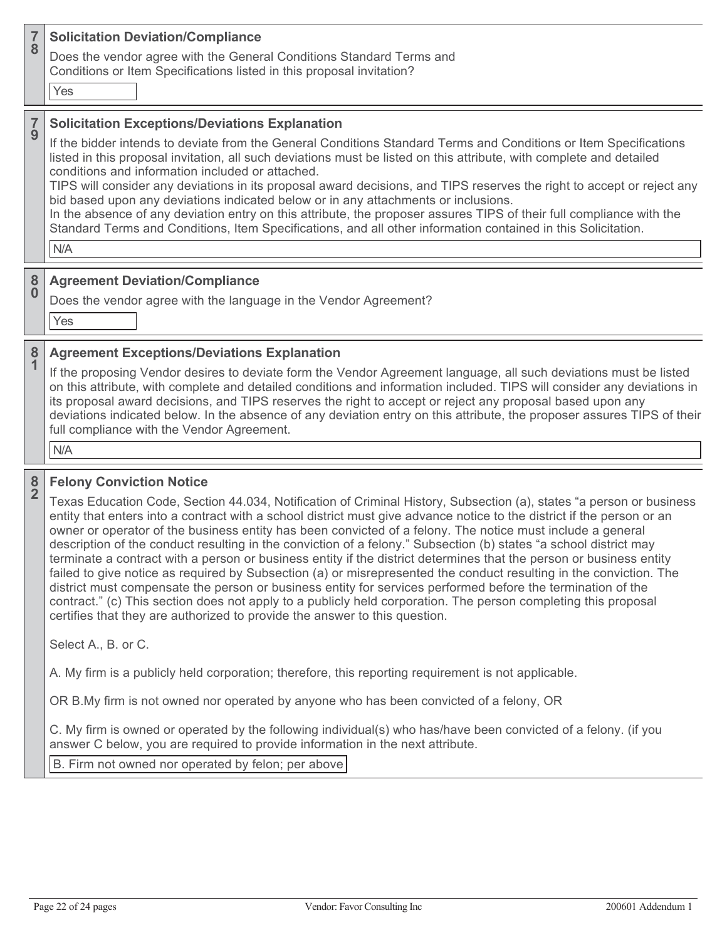### **7 <sup>8</sup> Solicitation Deviation/Compliance**

Does the vendor agree with the General Conditions Standard Terms and Conditions or Item Specifications listed in this proposal invitation?

Yes

### **7 <sup>9</sup> Solicitation Exceptions/Deviations Explanation**

If the bidder intends to deviate from the General Conditions Standard Terms and Conditions or Item Specifications listed in this proposal invitation, all such deviations must be listed on this attribute, with complete and detailed conditions and information included or attached.

TIPS will consider any deviations in its proposal award decisions, and TIPS reserves the right to accept or reject any bid based upon any deviations indicated below or in any attachments or inclusions.

In the absence of any deviation entry on this attribute, the proposer assures TIPS of their full compliance with the Standard Terms and Conditions, Item Specifications, and all other information contained in this Solicitation.

N/A

### **8 <sup>0</sup> Agreement Deviation/Compliance**

Does the vendor agree with the language in the Vendor Agreement?

Yes

### **8 <sup>1</sup> Agreement Exceptions/Deviations Explanation**

If the proposing Vendor desires to deviate form the Vendor Agreement language, all such deviations must be listed on this attribute, with complete and detailed conditions and information included. TIPS will consider any deviations in its proposal award decisions, and TIPS reserves the right to accept or reject any proposal based upon any deviations indicated below. In the absence of any deviation entry on this attribute, the proposer assures TIPS of their full compliance with the Vendor Agreement.

N/A

**8**

# **<sup>2</sup> Felony Conviction Notice**

Texas Education Code, Section 44.034, Notification of Criminal History, Subsection (a), states "a person or business entity that enters into a contract with a school district must give advance notice to the district if the person or an owner or operator of the business entity has been convicted of a felony. The notice must include a general description of the conduct resulting in the conviction of a felony." Subsection (b) states "a school district may terminate a contract with a person or business entity if the district determines that the person or business entity failed to give notice as required by Subsection (a) or misrepresented the conduct resulting in the conviction. The district must compensate the person or business entity for services performed before the termination of the contract." (c) This section does not apply to a publicly held corporation. The person completing this proposal certifies that they are authorized to provide the answer to this question.

Select A., B. or C.

A. My firm is a publicly held corporation; therefore, this reporting requirement is not applicable.

OR B.My firm is not owned nor operated by anyone who has been convicted of a felony, OR

C. My firm is owned or operated by the following individual(s) who has/have been convicted of a felony. (if you answer C below, you are required to provide information in the next attribute.

B. Firm not owned nor operated by felon; per above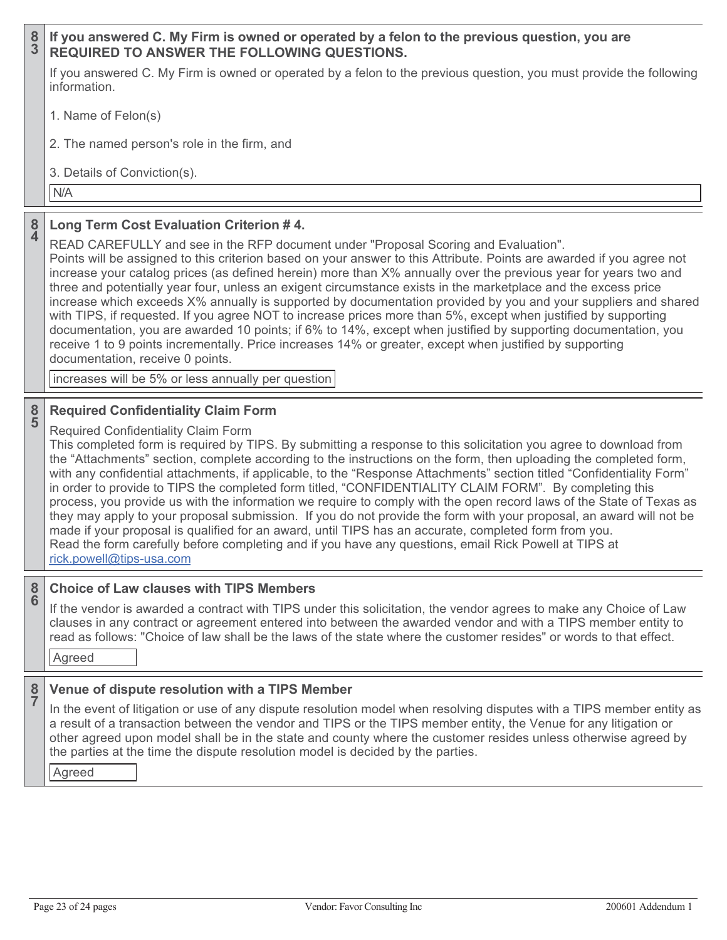| $\frac{8}{3}$                | If you answered C. My Firm is owned or operated by a felon to the previous question, you are<br><b>REQUIRED TO ANSWER THE FOLLOWING QUESTIONS.</b>                                                                                                                                                                                                                                                                                                                                                                                                                                                                                                                                                                                                                                                                                                                                                                                                                                                                                                                  |
|------------------------------|---------------------------------------------------------------------------------------------------------------------------------------------------------------------------------------------------------------------------------------------------------------------------------------------------------------------------------------------------------------------------------------------------------------------------------------------------------------------------------------------------------------------------------------------------------------------------------------------------------------------------------------------------------------------------------------------------------------------------------------------------------------------------------------------------------------------------------------------------------------------------------------------------------------------------------------------------------------------------------------------------------------------------------------------------------------------|
|                              | If you answered C. My Firm is owned or operated by a felon to the previous question, you must provide the following<br>information.                                                                                                                                                                                                                                                                                                                                                                                                                                                                                                                                                                                                                                                                                                                                                                                                                                                                                                                                 |
|                              | 1. Name of Felon(s)                                                                                                                                                                                                                                                                                                                                                                                                                                                                                                                                                                                                                                                                                                                                                                                                                                                                                                                                                                                                                                                 |
|                              | 2. The named person's role in the firm, and                                                                                                                                                                                                                                                                                                                                                                                                                                                                                                                                                                                                                                                                                                                                                                                                                                                                                                                                                                                                                         |
|                              | 3. Details of Conviction(s).                                                                                                                                                                                                                                                                                                                                                                                                                                                                                                                                                                                                                                                                                                                                                                                                                                                                                                                                                                                                                                        |
|                              | N/A                                                                                                                                                                                                                                                                                                                                                                                                                                                                                                                                                                                                                                                                                                                                                                                                                                                                                                                                                                                                                                                                 |
| 8<br>$\overline{\mathbf{4}}$ | Long Term Cost Evaluation Criterion #4.<br>READ CAREFULLY and see in the RFP document under "Proposal Scoring and Evaluation".<br>Points will be assigned to this criterion based on your answer to this Attribute. Points are awarded if you agree not<br>increase your catalog prices (as defined herein) more than X% annually over the previous year for years two and<br>three and potentially year four, unless an exigent circumstance exists in the marketplace and the excess price<br>increase which exceeds X% annually is supported by documentation provided by you and your suppliers and shared                                                                                                                                                                                                                                                                                                                                                                                                                                                      |
|                              | with TIPS, if requested. If you agree NOT to increase prices more than 5%, except when justified by supporting<br>documentation, you are awarded 10 points; if 6% to 14%, except when justified by supporting documentation, you<br>receive 1 to 9 points incrementally. Price increases 14% or greater, except when justified by supporting<br>documentation, receive 0 points.                                                                                                                                                                                                                                                                                                                                                                                                                                                                                                                                                                                                                                                                                    |
|                              | increases will be 5% or less annually per question                                                                                                                                                                                                                                                                                                                                                                                                                                                                                                                                                                                                                                                                                                                                                                                                                                                                                                                                                                                                                  |
|                              |                                                                                                                                                                                                                                                                                                                                                                                                                                                                                                                                                                                                                                                                                                                                                                                                                                                                                                                                                                                                                                                                     |
| $\frac{8}{5}$                | <b>Required Confidentiality Claim Form</b><br><b>Required Confidentiality Claim Form</b><br>This completed form is required by TIPS. By submitting a response to this solicitation you agree to download from<br>the "Attachments" section, complete according to the instructions on the form, then uploading the completed form,<br>with any confidential attachments, if applicable, to the "Response Attachments" section titled "Confidentiality Form"<br>in order to provide to TIPS the completed form titled, "CONFIDENTIALITY CLAIM FORM". By completing this<br>process, you provide us with the information we require to comply with the open record laws of the State of Texas as<br>they may apply to your proposal submission. If you do not provide the form with your proposal, an award will not be<br>made if your proposal is qualified for an award, until TIPS has an accurate, completed form from you.<br>Read the form carefully before completing and if you have any questions, email Rick Powell at TIPS at<br>rick.powell@tips-usa.com |
| $\frac{8}{6}$                | <b>Choice of Law clauses with TIPS Members</b><br>If the vendor is awarded a contract with TIPS under this solicitation, the vendor agrees to make any Choice of Law<br>clauses in any contract or agreement entered into between the awarded vendor and with a TIPS member entity to<br>read as follows: "Choice of law shall be the laws of the state where the customer resides" or words to that effect.<br>Agreed                                                                                                                                                                                                                                                                                                                                                                                                                                                                                                                                                                                                                                              |

Agreed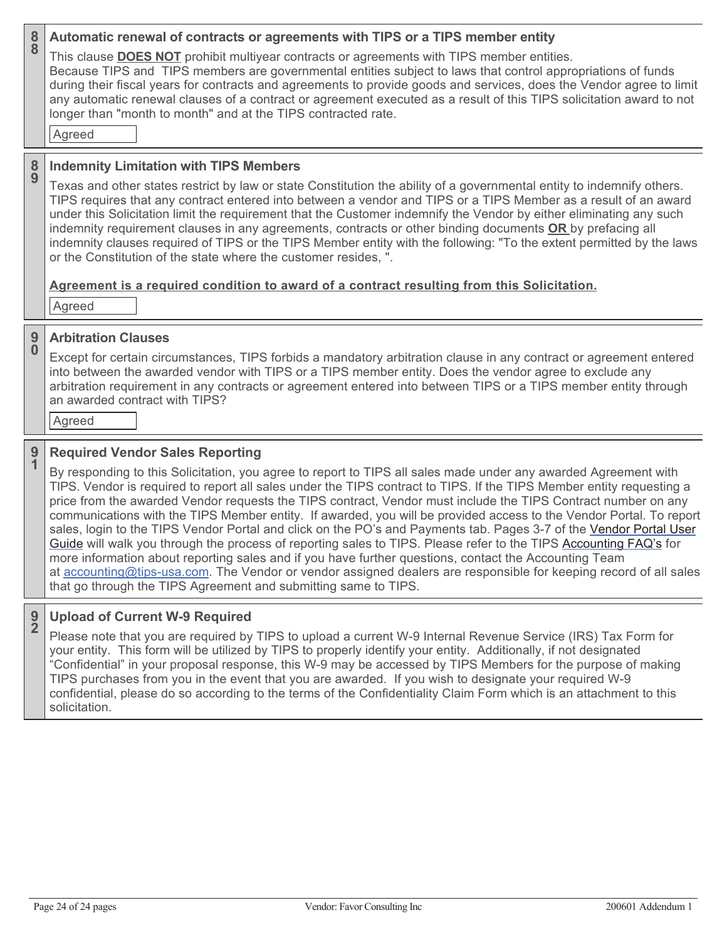| $\frac{8}{8}$ | Automatic renewal of contracts or agreements with TIPS or a TIPS member entity<br>This clause <b>DOES NOT</b> prohibit multiyear contracts or agreements with TIPS member entities.<br>Because TIPS and TIPS members are governmental entities subject to laws that control appropriations of funds<br>during their fiscal years for contracts and agreements to provide goods and services, does the Vendor agree to limit<br>any automatic renewal clauses of a contract or agreement executed as a result of this TIPS solicitation award to not<br>longer than "month to month" and at the TIPS contracted rate.<br>Agreed                                                                                                                                                                                                                                                                                                                                                                                                                                        |
|---------------|-----------------------------------------------------------------------------------------------------------------------------------------------------------------------------------------------------------------------------------------------------------------------------------------------------------------------------------------------------------------------------------------------------------------------------------------------------------------------------------------------------------------------------------------------------------------------------------------------------------------------------------------------------------------------------------------------------------------------------------------------------------------------------------------------------------------------------------------------------------------------------------------------------------------------------------------------------------------------------------------------------------------------------------------------------------------------|
| $\frac{8}{9}$ | <b>Indemnity Limitation with TIPS Members</b><br>Texas and other states restrict by law or state Constitution the ability of a governmental entity to indemnify others.<br>TIPS requires that any contract entered into between a vendor and TIPS or a TIPS Member as a result of an award<br>under this Solicitation limit the requirement that the Customer indemnify the Vendor by either eliminating any such<br>indemnity requirement clauses in any agreements, contracts or other binding documents OR by prefacing all<br>indemnity clauses required of TIPS or the TIPS Member entity with the following: "To the extent permitted by the laws<br>or the Constitution of the state where the customer resides, ".<br>Agreement is a required condition to award of a contract resulting from this Solicitation.<br>Agreed                                                                                                                                                                                                                                    |
| $\frac{9}{0}$ | <b>Arbitration Clauses</b><br>Except for certain circumstances, TIPS forbids a mandatory arbitration clause in any contract or agreement entered<br>into between the awarded vendor with TIPS or a TIPS member entity. Does the vendor agree to exclude any<br>arbitration requirement in any contracts or agreement entered into between TIPS or a TIPS member entity through<br>an awarded contract with TIPS?<br>Agreed                                                                                                                                                                                                                                                                                                                                                                                                                                                                                                                                                                                                                                            |
| $\frac{9}{1}$ | <b>Required Vendor Sales Reporting</b><br>By responding to this Solicitation, you agree to report to TIPS all sales made under any awarded Agreement with<br>TIPS. Vendor is required to report all sales under the TIPS contract to TIPS. If the TIPS Member entity requesting a<br>price from the awarded Vendor requests the TIPS contract, Vendor must include the TIPS Contract number on any<br>communications with the TIPS Member entity. If awarded, you will be provided access to the Vendor Portal. To report<br>sales, login to the TIPS Vendor Portal and click on the PO's and Payments tab. Pages 3-7 of the Vendor Portal User<br>Guide will walk you through the process of reporting sales to TIPS. Please refer to the TIPS Accounting FAQ's for<br>more information about reporting sales and if you have further questions, contact the Accounting Team<br>at accounting@tips-usa.com. The Vendor or vendor assigned dealers are responsible for keeping record of all sales<br>that go through the TIPS Agreement and submitting same to TIPS. |
| $\frac{9}{2}$ | <b>Upload of Current W-9 Required</b><br>Please note that you are required by TIPS to upload a current W-9 Internal Revenue Service (IRS) Tax Form for                                                                                                                                                                                                                                                                                                                                                                                                                                                                                                                                                                                                                                                                                                                                                                                                                                                                                                                |

your entity. This form will be utilized by TIPS to properly identify your entity. Additionally, if not designated "Confidential" in your proposal response, this W-9 may be accessed by TIPS Members for the purpose of making TIPS purchases from you in the event that you are awarded. If you wish to designate your required W-9 confidential, please do so according to the terms of the Confidentiality Claim Form which is an attachment to this solicitation.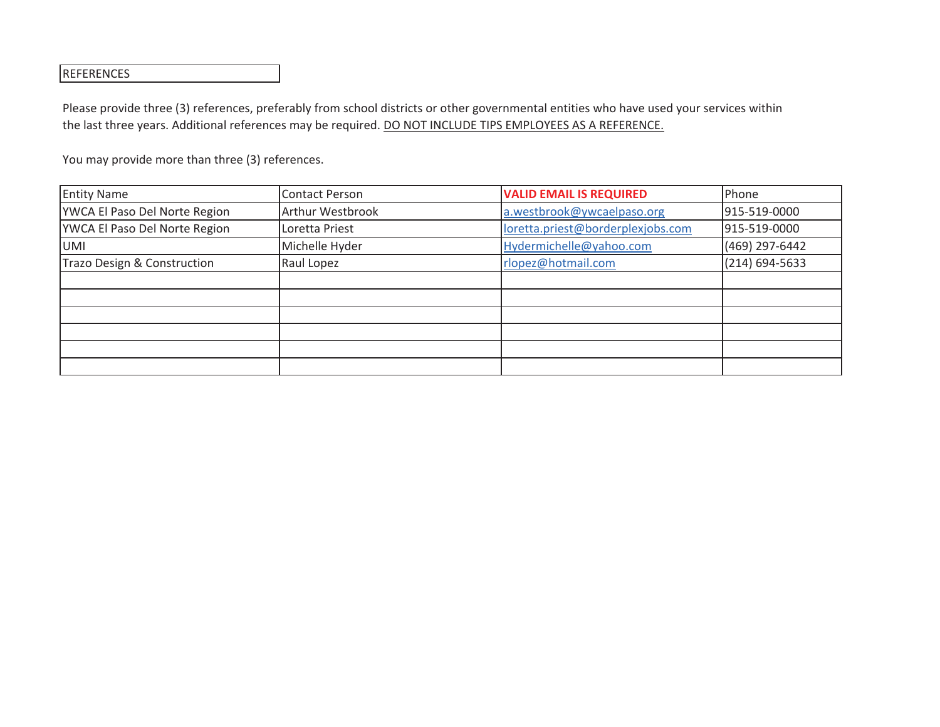# REFERENCES

Please provide three (3) references, preferably from school districts or other governmental entities who have used your services within the last three years. Additional references may be required. DO NOT INCLUDE TIPS EMPLOYEES AS A REFERENCE.

| <b>Entity Name</b>            | <b>Contact Person</b>   | <b>VALID EMAIL IS REQUIRED</b>    | Phone          |
|-------------------------------|-------------------------|-----------------------------------|----------------|
| YWCA El Paso Del Norte Region | <b>Arthur Westbrook</b> | a.westbrook@ywcaelpaso.org        | 915-519-0000   |
| YWCA El Paso Del Norte Region | Loretta Priest          | loretta.priest@borderplexjobs.com | 915-519-0000   |
| <b>UMI</b>                    | Michelle Hyder          | Hydermichelle@yahoo.com           | (469) 297-6442 |
| Trazo Design & Construction   | Raul Lopez              | rlopez@hotmail.com                | (214) 694-5633 |
|                               |                         |                                   |                |
|                               |                         |                                   |                |
|                               |                         |                                   |                |
|                               |                         |                                   |                |
|                               |                         |                                   |                |
|                               |                         |                                   |                |

You may provide more than three (3) references.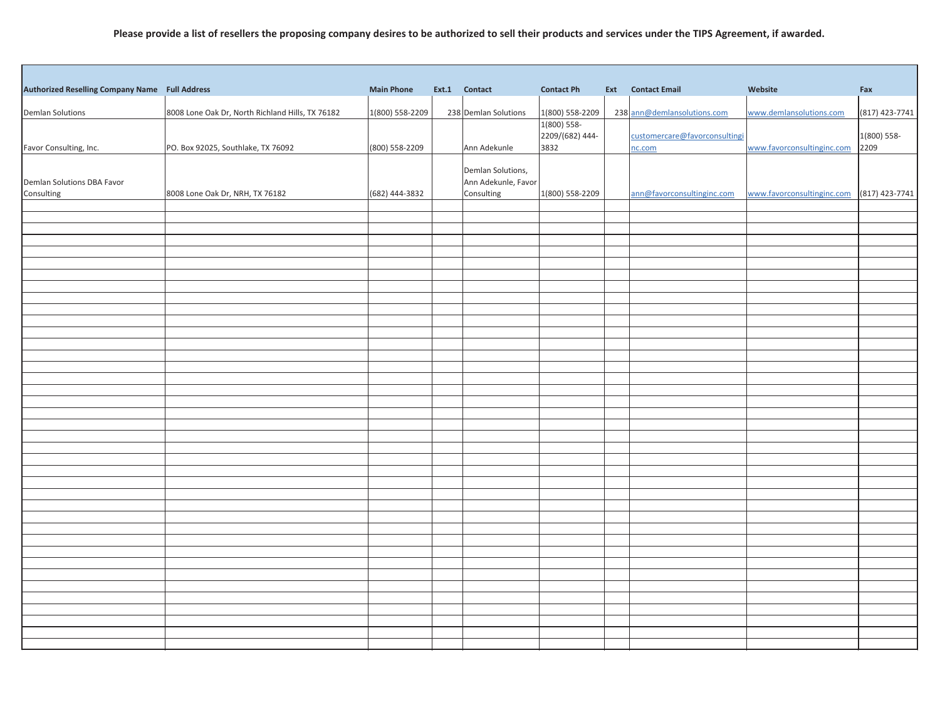# **Please provide a list of resellers the proposing company desires to be authorized to sell their products and services under the TIPS Agreement, if awarded.**

| Authorized Reselling Company Name Full Address |                                                  | <b>Main Phone</b> | Ext.1 Contact                     | <b>Contact Ph</b> | <b>Ext</b> Contact Email      | Website                    | Fax            |
|------------------------------------------------|--------------------------------------------------|-------------------|-----------------------------------|-------------------|-------------------------------|----------------------------|----------------|
| Demlan Solutions                               | 8008 Lone Oak Dr, North Richland Hills, TX 76182 | 1(800) 558-2209   | 238 Demlan Solutions              | 1(800) 558-2209   | 238 ann@demlansolutions.com   | www.demlansolutions.com    | (817) 423-7741 |
|                                                |                                                  |                   |                                   | 1(800) 558-       |                               |                            |                |
|                                                |                                                  |                   |                                   | 2209/(682) 444-   | customercare@favorconsultingi |                            | 1(800) 558-    |
| Favor Consulting, Inc.                         | PO. Box 92025, Southlake, TX 76092               | (800) 558-2209    | Ann Adekunle                      | 3832              | nc.com                        | www.favorconsultinginc.com | 2209           |
|                                                |                                                  |                   | Demlan Solutions,                 |                   |                               |                            |                |
| Demlan Solutions DBA Favor                     | 8008 Lone Oak Dr, NRH, TX 76182                  | (682) 444-3832    | Ann Adekunle, Favor<br>Consulting | 1(800) 558-2209   | ann@favorconsultinginc.com    | www.favorconsultinginc.com | (817) 423-7741 |
| Consulting                                     |                                                  |                   |                                   |                   |                               |                            |                |
|                                                |                                                  |                   |                                   |                   |                               |                            |                |
|                                                |                                                  |                   |                                   |                   |                               |                            |                |
|                                                |                                                  |                   |                                   |                   |                               |                            |                |
|                                                |                                                  |                   |                                   |                   |                               |                            |                |
|                                                |                                                  |                   |                                   |                   |                               |                            |                |
|                                                |                                                  |                   |                                   |                   |                               |                            |                |
|                                                |                                                  |                   |                                   |                   |                               |                            |                |
|                                                |                                                  |                   |                                   |                   |                               |                            |                |
|                                                |                                                  |                   |                                   |                   |                               |                            |                |
|                                                |                                                  |                   |                                   |                   |                               |                            |                |
|                                                |                                                  |                   |                                   |                   |                               |                            |                |
|                                                |                                                  |                   |                                   |                   |                               |                            |                |
|                                                |                                                  |                   |                                   |                   |                               |                            |                |
|                                                |                                                  |                   |                                   |                   |                               |                            |                |
|                                                |                                                  |                   |                                   |                   |                               |                            |                |
|                                                |                                                  |                   |                                   |                   |                               |                            |                |
|                                                |                                                  |                   |                                   |                   |                               |                            |                |
|                                                |                                                  |                   |                                   |                   |                               |                            |                |
|                                                |                                                  |                   |                                   |                   |                               |                            |                |
|                                                |                                                  |                   |                                   |                   |                               |                            |                |
|                                                |                                                  |                   |                                   |                   |                               |                            |                |
|                                                |                                                  |                   |                                   |                   |                               |                            |                |
|                                                |                                                  |                   |                                   |                   |                               |                            |                |
|                                                |                                                  |                   |                                   |                   |                               |                            |                |
|                                                |                                                  |                   |                                   |                   |                               |                            |                |
|                                                |                                                  |                   |                                   |                   |                               |                            |                |
|                                                |                                                  |                   |                                   |                   |                               |                            |                |
|                                                |                                                  |                   |                                   |                   |                               |                            |                |
|                                                |                                                  |                   |                                   |                   |                               |                            |                |
|                                                |                                                  |                   |                                   |                   |                               |                            |                |
|                                                |                                                  |                   |                                   |                   |                               |                            |                |
|                                                |                                                  |                   |                                   |                   |                               |                            |                |
|                                                |                                                  |                   |                                   |                   |                               |                            |                |
|                                                |                                                  |                   |                                   |                   |                               |                            |                |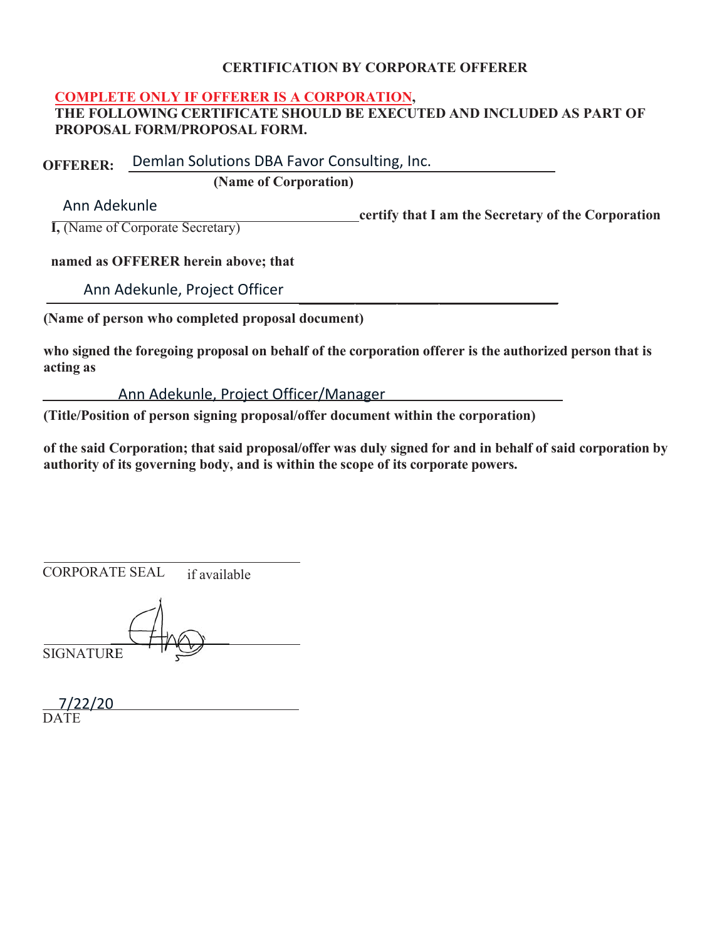# **CERTIFICATION BY CORPORATE OFFERER**

# **COMPLETE ONLY IF OFFERER IS A CORPORATION,**

**THE FOLLOWING CERTIFICATE SHOULD BE EXECUTED AND INCLUDED AS PART OF PROPOSAL FORM/PROPOSAL FORM.**

**OFFERER:** Demlan Solutions DBA Favor Consulting, Inc.

**(Name of Corporation)** 

Ann Adekunle

**certify that I am the Secretary of the Corporation** 

**I**, (Name of Corporate Secretary)

# **named as OFFERER herein above; that**

Ann Adekunle, Project Officer

**(Name of person who completed proposal document)**

**who signed the foregoing proposal on behalf of the corporation offerer is the authorized person that is acting as**

Ann Adekunle, Project Officer/Manager

**(Title/Position of person signing proposal/offer document within the corporation)** 

**of the said Corporation; that said proposal/offer was duly signed for and in behalf of said corporation by authority of its governing body, and is within the scope of its corporate powers.**

CORPORATE SEAL if available

**SIGNATURE** 

| 7/22/20 |  |  |
|---------|--|--|
| DATE    |  |  |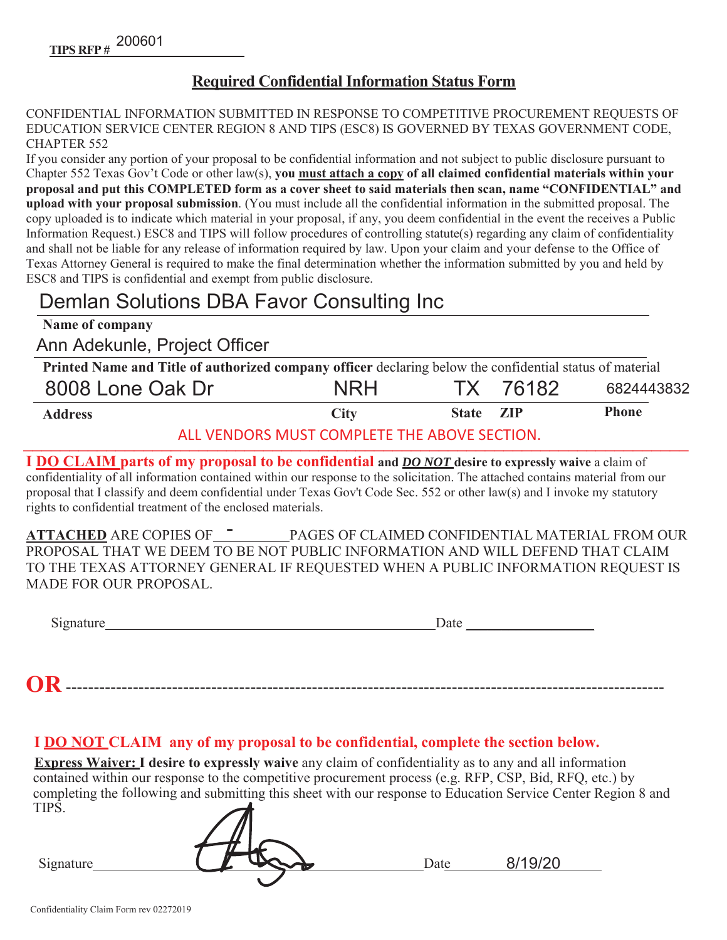# **Required Confidential Information Status Form**

CONFIDENTIAL INFORMATION SUBMITTED IN RESPONSE TO COMPETITIVE PROCUREMENT REOUESTS OF EDUCATION SERVICE CENTER REGION 8 AND TIPS (ESC8) IS GOVERNED BY TEXAS GOVERNMENT CODE, CHAPTER 552

If you consider any portion of your proposal to be confidential information and not subject to public disclosure pursuant to Chapter 552 Texas Gov't Code or other law(s), you must attach a copy of all claimed confidential materials within your proposal and put this COMPLETED form as a cover sheet to said materials then scan, name "CONFIDENTIAL" and upload with your proposal submission. (You must include all the confidential information in the submitted proposal. The copy uploaded is to indicate which material in your proposal, if any, you deem confidential in the event the receives a Public Information Request.) ESC8 and TIPS will follow procedures of controlling statute(s) regarding any claim of confidentiality and shall not be liable for any release of information required by law. Upon your claim and your defense to the Office of Texas Attorney General is required to make the final determination whether the information submitted by you and held by ESC8 and TIPS is confidential and exempt from public disclosure.

# Demlan Solutions DBA Favor Consulting Inc

| Name of company               |                                                                                                          |                  |          |              |  |  |  |
|-------------------------------|----------------------------------------------------------------------------------------------------------|------------------|----------|--------------|--|--|--|
| Ann Adekunle, Project Officer |                                                                                                          |                  |          |              |  |  |  |
|                               | Printed Name and Title of authorized company officer declaring below the confidential status of material |                  |          |              |  |  |  |
| 8008 Lone Oak Dr              | <b>NRH</b>                                                                                               |                  | TX 76182 | 6824443832   |  |  |  |
| <b>Address</b>                | <b>City</b>                                                                                              | State <b>ZIP</b> |          | <b>Phone</b> |  |  |  |

ALL VENDORS MUST COMPLETE THE ABOVE SECTION.

**I DO CLAIM parts of my proposal to be confidential and <b>DO NOT** desire to expressly waive a claim of confidentiality of all information contained within our response to the solicitation. The attached contains material from our proposal that I classify and deem confidential under Texas Gov't Code Sec. 552 or other law(s) and I invoke my statutory rights to confidential treatment of the enclosed materials.

**\$77\$&+('**\$5(&23,(62) 3\$\*(62)&/\$,0('&21),'(17,\$/0\$7(5,\$/)520285 - PROPOSAL THAT WE DEEM TO BE NOT PUBLIC INFORMATION AND WILL DEFEND THAT CLAIM TO THE TEXAS ATTORNEY GENERAL IF REQUESTED WHEN A PUBLIC INFORMATION REQUEST IS MADE FOR OUR PROPOSAL.

Signature  $\frac{1}{2}$ 

**25**

# **I DO NOT CLAIM** any of my proposal to be confidential, complete the section below.

**Express Waiver: I desire to expressly waive** any claim of confidentiality as to any and all information  $\overline{\text{contained within our response to the competitive procurrent process (e.g. RFP, CSP, Bid, RFQ, etc.)}$  by completing the following and submitting this sheet with our response to Education Service Center Region 8 and TIPS.

| 111 D.    |      |           |  |
|-----------|------|-----------|--|
| Signature | Date | $\bigcap$ |  |
|           |      |           |  |